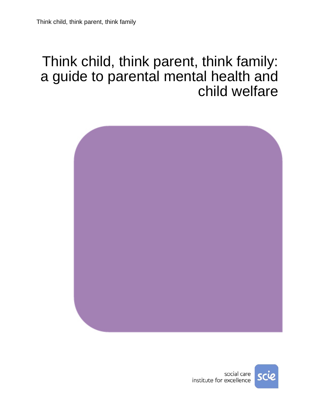# Think child, think parent, think family: a guide to parental mental health and child welfare



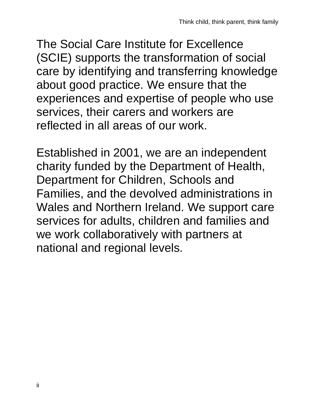The Social Care Institute for Excellence (SCIE) supports the transformation of social care by identifying and transferring knowledge about good practice. We ensure that the experiences and expertise of people who use services, their carers and workers are reflected in all areas of our work.

Established in 2001, we are an independent charity funded by the Department of Health, Department for Children, Schools and Families, and the devolved administrations in Wales and Northern Ireland. We support care services for adults, children and families and we work collaboratively with partners at national and regional levels.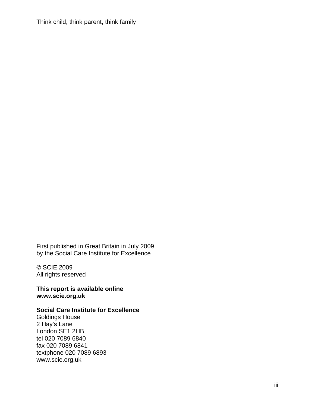Think child, think parent, think family

First published in Great Britain in July 2009 by the Social Care Institute for Excellence

© SCIE 2009 All rights reserved

**This report is available online www.scie.org.uk** 

#### **Social Care Institute for Excellence**

Goldings House 2 Hay's Lane London SE1 2HB tel 020 7089 6840 fax 020 7089 6841 textphone 020 7089 6893 www.scie.org.uk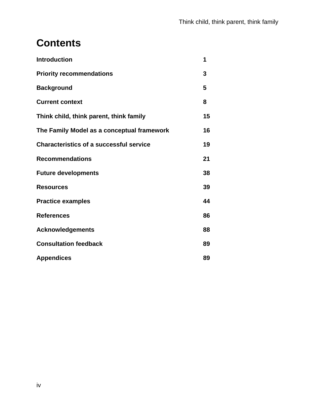# **Contents**

| <b>Introduction</b>                            | 1  |
|------------------------------------------------|----|
| <b>Priority recommendations</b>                | 3  |
| <b>Background</b>                              | 5  |
| <b>Current context</b>                         | 8  |
| Think child, think parent, think family        | 15 |
| The Family Model as a conceptual framework     | 16 |
| <b>Characteristics of a successful service</b> | 19 |
| <b>Recommendations</b>                         | 21 |
| <b>Future developments</b>                     | 38 |
| <b>Resources</b>                               | 39 |
| <b>Practice examples</b>                       | 44 |
| <b>References</b>                              | 86 |
| <b>Acknowledgements</b>                        | 88 |
| <b>Consultation feedback</b>                   | 89 |
| <b>Appendices</b>                              | 89 |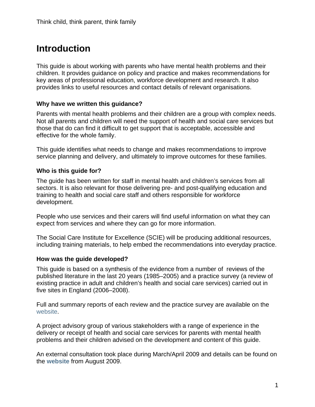# **Introduction**

This guide is about working with parents who have mental health problems and their children. It provides guidance on policy and practice and makes recommendations for key areas of professional education, workforce development and research. It also provides links to useful resources and contact details of relevant organisations.

#### **Why have we written this guidance?**

Parents with mental health problems and their children are a group with complex needs. Not all parents and children will need the support of health and social care services but those that do can find it difficult to get support that is acceptable, accessible and effective for the whole family.

This guide identifies what needs to change and makes recommendations to improve service planning and delivery, and ultimately to improve outcomes for these families.

#### **Who is this guide for?**

The guide has been written for staff in mental health and children's services from all sectors. It is also relevant for those delivering pre- and post-qualifying education and training to health and social care staff and others responsible for workforce development.

People who use services and their carers will find useful information on what they can expect from services and where they can go for more information.

The Social Care Institute for Excellence (SCIE) will be producing additional resources, including training materials, to help embed the recommendations into everyday practice.

#### **How was the guide developed?**

This guide is based on a synthesis of the evidence from a number of reviews of the published literature in the last 20 years (1985–2005) and a practice survey (a review of existing practice in adult and children's health and social care services) carried out in five sites in England (2006–2008).

Full and summary reports of each review and the practice survey are available on the [website.](http://www.scie.org.uk/publications/guides/guide30/appendices.asp)

A project advisory group of various stakeholders with a range of experience in the delivery or receipt of health and social care services for parents with mental health problems and their children advised on the development and content of this guide.

An external consultation took place during March/April 2009 and details can be found on the **[website](http://www.scie.org.uk/publications/guides/guide30/consultation.asp)** from August 2009.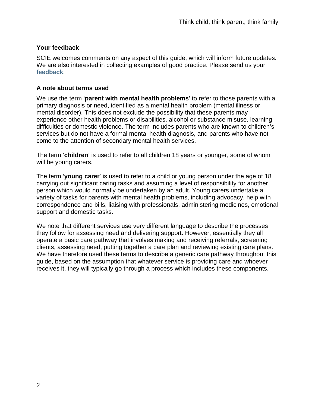#### **Your feedback**

SCIE welcomes comments on any aspect of this guide, which will inform future updates. We are also interested in collecting examples of good practice. Please send us your **[feedback](http://www.scie.org.uk/publications/feedback.asp?product=Guide%2030)**.

#### **A note about terms used**

We use the term '**parent with mental health problems**' to refer to those parents with a primary diagnosis or need, identified as a mental health problem (mental illness or mental disorder). This does not exclude the possibility that these parents may experience other health problems or disabilities, alcohol or substance misuse, learning difficulties or domestic violence. The term includes parents who are known to children's services but do not have a formal mental health diagnosis, and parents who have not come to the attention of secondary mental health services.

The term '**children**' is used to refer to all children 18 years or younger, some of whom will be young carers.

The term '**young carer**' is used to refer to a child or young person under the age of 18 carrying out significant caring tasks and assuming a level of responsibility for another person which would normally be undertaken by an adult. Young carers undertake a variety of tasks for parents with mental health problems, including advocacy, help with correspondence and bills, liaising with professionals, administering medicines, emotional support and domestic tasks.

We note that different services use very different language to describe the processes they follow for assessing need and delivering support. However, essentially they all operate a basic care pathway that involves making and receiving referrals, screening clients, assessing need, putting together a care plan and reviewing existing care plans. We have therefore used these terms to describe a generic care pathway throughout this guide, based on the assumption that whatever service is providing care and whoever receives it, they will typically go through a process which includes these components.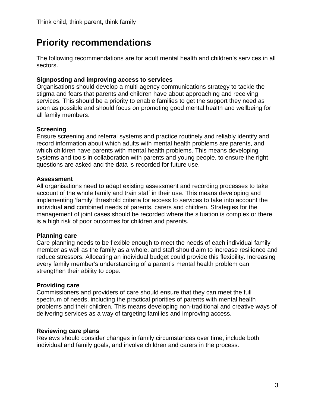# **Priority recommendations**

The following recommendations are for adult mental health and children's services in all sectors.

### **Signposting and improving access to services**

Organisations should develop a multi-agency communications strategy to tackle the stigma and fears that parents and children have about approaching and receiving services. This should be a priority to enable families to get the support they need as soon as possible and should focus on promoting good mental health and wellbeing for all family members.

### **Screening**

Ensure screening and referral systems and practice routinely and reliably identify and record information about which adults with mental health problems are parents, and which children have parents with mental health problems. This means developing systems and tools in collaboration with parents and young people, to ensure the right questions are asked and the data is recorded for future use.

### **Assessment**

All organisations need to adapt existing assessment and recording processes to take account of the whole family and train staff in their use. This means developing and implementing 'family' threshold criteria for access to services to take into account the individual **and** combined needs of parents, carers and children. Strategies for the management of joint cases should be recorded where the situation is complex or there is a high risk of poor outcomes for children and parents.

### **Planning care**

Care planning needs to be flexible enough to meet the needs of each individual family member as well as the family as a whole, and staff should aim to increase resilience and reduce stressors. Allocating an individual budget could provide this flexibility. Increasing every family member's understanding of a parent's mental health problem can strengthen their ability to cope.

### **Providing care**

Commissioners and providers of care should ensure that they can meet the full spectrum of needs, including the practical priorities of parents with mental health problems and their children. This means developing non-traditional and creative ways of delivering services as a way of targeting families and improving access.

### **Reviewing care plans**

Reviews should consider changes in family circumstances over time, include both individual and family goals, and involve children and carers in the process.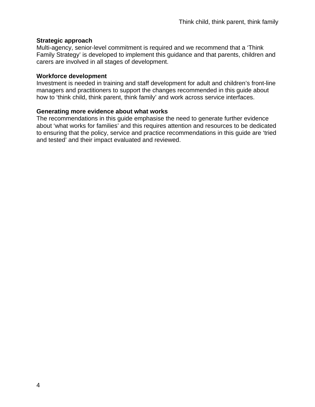#### **Strategic approach**

Multi-agency, senior-level commitment is required and we recommend that a 'Think Family Strategy' is developed to implement this guidance and that parents, children and carers are involved in all stages of development.

#### **Workforce development**

Investment is needed in training and staff development for adult and children's front-line managers and practitioners to support the changes recommended in this guide about how to 'think child, think parent, think family' and work across service interfaces.

#### **Generating more evidence about what works**

The recommendations in this guide emphasise the need to generate further evidence about 'what works for families' and this requires attention and resources to be dedicated to ensuring that the policy, service and practice recommendations in this guide are 'tried and tested' and their impact evaluated and reviewed.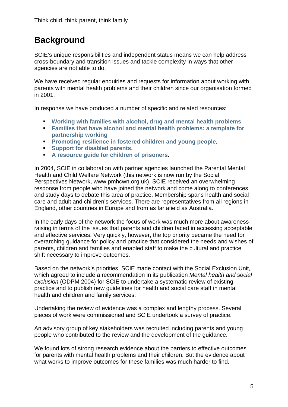# **Background**

SCIE's unique responsibilities and independent status means we can help address cross-boundary and transition issues and tackle complexity in ways that other agencies are not able to do.

We have received regular enquiries and requests for information about working with parents with mental health problems and their children since our organisation formed in 2001.

In response we have produced a number of specific and related resources:

- **[Working with families with alcohol, drug and mental health problems](http://www.scie.org.uk/publications/reports/report02.asp)**
- **[Families that have alcohol and mental health problems: a template for](http://www.scie.org.uk/publications/guides/guide02/index.asp)  [partnership working](http://www.scie.org.uk/publications/guides/guide02/index.asp)**
- **[Promoting resilience in fostered children and young people](http://www.scie.org.uk/publications/guides/guide06/index.asp).**
- **[Support for disabled parents](http://www.scie.org.uk/publications/guides/guide19/index.asp).**
- **[A resource guide for children of prisoners](http://www.scie.org.uk/publications/guides/guide22/index.asp)**.

In 2004, SCIE in collaboration with partner agencies launched the Parental Mental Health and Child Welfare Network (this network is now run by the Social Perspectives Network, www.pmhcwn.org.uk). SCIE received an overwhelming response from people who have joined the network and come along to conferences and study days to debate this area of practice. Membership spans health and social care and adult and children's services. There are representatives from all regions in England, other countries in Europe and from as far afield as Australia.

In the early days of the network the focus of work was much more about awarenessraising in terms of the issues that parents and children faced in accessing acceptable and effective services. Very quickly, however, the top priority became the need for overarching guidance for policy and practice that considered the needs and wishes of parents, children and families and enabled staff to make the cultural and practice shift necessary to improve outcomes.

Based on the network's priorities, SCIE made contact with the Social Exclusion Unit, which agreed to include a recommendation in its publication *Mental health and social exclusion* (ODPM 2004) for SCIE to undertake a systematic review of existing practice and to publish new guidelines for health and social care staff in mental health and children and family services.

Undertaking the review of evidence was a complex and lengthy process. Several pieces of work were commissioned and SCIE undertook a survey of practice.

An advisory group of key stakeholders was recruited including parents and young people who contributed to the review and the development of the guidance.

We found lots of strong research evidence about the barriers to effective outcomes for parents with mental health problems and their children. But the evidence about what works to improve outcomes for these families was much harder to find.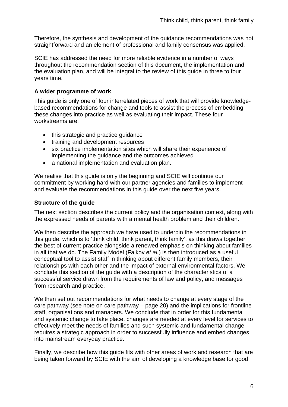Therefore, the synthesis and development of the guidance recommendations was not straightforward and an element of professional and family consensus was applied.

SCIE has addressed the need for more reliable evidence in a number of ways throughout the recommendation section of this document, the implementation and the evaluation plan, and will be integral to the review of this guide in three to four years time.

#### **A wider programme of work**

This guide is only one of four interrelated pieces of work that will provide knowledgebased recommendations for change and tools to assist the process of embedding these changes into practice as well as evaluating their impact. These four workstreams are:

- this strategic and practice guidance
- training and development resources
- six practice implementation sites which will share their experience of implementing the guidance and the outcomes achieved
- a national implementation and evaluation plan.

We realise that this guide is only the beginning and SCIE will continue our commitment by working hard with our partner agencies and families to implement and evaluate the recommendations in this guide over the next five years.

#### **Structure of the guide**

The next section describes the current policy and the organisation context, along with the expressed needs of parents with a mental health problem and their children.

We then describe the approach we have used to underpin the recommendations in this guide, which is to 'think child, think parent, think family', as this draws together the best of current practice alongside a renewed emphasis on thinking about families in all that we do. The Family Model (Falkov *et al.*) is then introduced as a useful conceptual tool to assist staff in thinking about different family members, their relationships with each other and the impact of external environmental factors. We conclude this section of the guide with a description of the characteristics of a successful service drawn from the requirements of law and policy, and messages from research and practice.

We then set out recommendations for what needs to change at every stage of the care pathway (see note on care pathway – page 20) and the implications for frontline staff, organisations and managers. We conclude that in order for this fundamental and systemic change to take place, changes are needed at every level for services to effectively meet the needs of families and such systemic and fundamental change requires a strategic approach in order to successfully influence and embed changes into mainstream everyday practice.

Finally, we describe how this guide fits with other areas of work and research that are being taken forward by SCIE with the aim of developing a knowledge base for good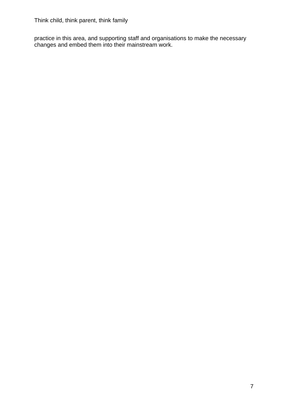practice in this area, and supporting staff and organisations to make the necessary changes and embed them into their mainstream work.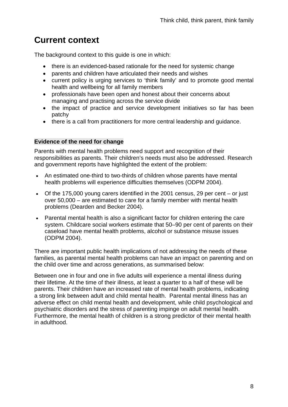# **Current context**

The background context to this guide is one in which:

- there is an evidenced-based rationale for the need for systemic change
- parents and children have articulated their needs and wishes
- current policy is urging services to 'think family' and to promote good mental health and wellbeing for all family members
- professionals have been open and honest about their concerns about managing and practising across the service divide
- the impact of practice and service development initiatives so far has been patchy
- there is a call from practitioners for more central leadership and guidance.

### **Evidence of the need for change**

Parents with mental health problems need support and recognition of their responsibilities as parents. Their children's needs must also be addressed. Research and government reports have highlighted the extent of the problem:

- An estimated one-third to two-thirds of children whose parents have mental health problems will experience difficulties themselves (ODPM 2004).
- Of the 175,000 young carers identified in the 2001 census, 29 per cent or just over 50,000 – are estimated to care for a family member with mental health problems (Dearden and Becker 2004).
- Parental mental health is also a significant factor for children entering the care system. Childcare social workers estimate that 50–90 per cent of parents on their caseload have mental health problems, alcohol or substance misuse issues (ODPM 2004).

There are important public health implications of not addressing the needs of these families, as parental mental health problems can have an impact on parenting and on the child over time and across generations, as summarised below:

Between one in four and one in five adults will experience a mental illness during their lifetime. At the time of their illness, at least a quarter to a half of these will be parents. Their children have an increased rate of mental health problems, indicating a strong link between adult and child mental health. Parental mental illness has an adverse effect on child mental health and development, while child psychological and psychiatric disorders and the stress of parenting impinge on adult mental health. Furthermore, the mental health of children is a strong predictor of their mental health in adulthood.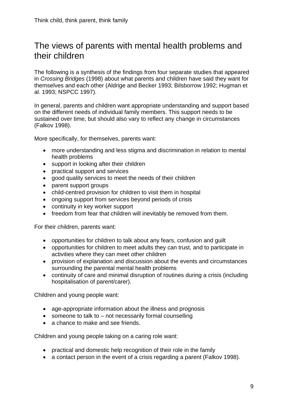### The views of parents with mental health problems and their children

The following is a synthesis of the findings from four separate studies that appeared in *Crossing Bridges* (1998) about what parents and children have said they want for themselves and each other (Aldrige and Becker 1993; Bilsborrow 1992; Hugman et al. 1993; NSPCC 1997).

In general, parents and children want appropriate understanding and support based on the different needs of individual family members. This support needs to be sustained over time, but should also vary to reflect any change in circumstances (Falkov 1998).

More specifically, for themselves, parents want:

- more understanding and less stigma and discrimination in relation to mental health problems
- support in looking after their children
- practical support and services
- good quality services to meet the needs of their children
- parent support groups
- child-centred provision for children to visit them in hospital
- ongoing support from services beyond periods of crisis
- continuity in key worker support
- freedom from fear that children will inevitably be removed from them.

For their children, parents want:

- opportunities for children to talk about any fears, confusion and guilt
- opportunities for children to meet adults they can trust, and to participate in activities where they can meet other children
- provision of explanation and discussion about the events and circumstances surrounding the parental mental health problems
- continuity of care and minimal disruption of routines during a crisis (including hospitalisation of parent/carer).

Children and young people want:

- age-appropriate information about the illness and prognosis
- someone to talk to not necessarily formal counselling
- a chance to make and see friends.

Children and young people taking on a caring role want:

- practical and domestic help recognition of their role in the family
- a contact person in the event of a crisis regarding a parent (Falkov 1998).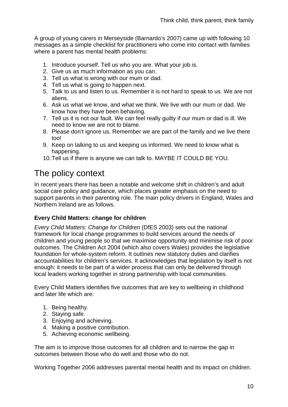A group of young carers in Merseyside (Barnardo's 2007) came up with following 10 messages as a simple checklist for practitioners who come into contact with families where a parent has mental health problems:

- 1. Introduce yourself. Tell us who you are. What your job is.
- 2. Give us as much information as you can.
- 3. Tell us what is wrong with our mum or dad.
- 4. Tell us what is going to happen next.
- 5. Talk to us and listen to us. Remember it is not hard to speak to us. We are not aliens.
- 6. Ask us what we know, and what we think. We live with our mum or dad. We know how they have been behaving.
- 7. Tell us it is not our fault. We can feel really guilty if our mum or dad is ill. We need to know we are not to blame.
- 8. Please don't ignore us. Remember we are part of the family and we live there too!
- 9. Keep on talking to us and keeping us informed. We need to know what is happening.
- 10. Tell us if there is anyone we can talk to. MAYBE IT COULD BE YOU.

# The policy context

In recent years there has been a notable and welcome shift in children's and adult social care policy and guidance, which places greater emphasis on the need to support parents in their parenting role. The main policy drivers in England, Wales and Northern Ireland are as follows.

#### **Every Child Matters: change for children**

*Every Child Matters: Change for Children* (DfES 2003) sets out the national framework for local change programmes to build services around the needs of children and young people so that we maximise opportunity and minimise risk of poor outcomes. The Children Act 2004 (which also covers Wales) provides the legislative foundation for whole-system reform. It outlines new statutory duties and clarifies accountabilities for children's services. It acknowledges that legislation by itself is not enough: it needs to be part of a wider process that can only be delivered through local leaders working together in strong partnership with local communities.

Every Child Matters identifies five outcomes that are key to wellbeing in childhood and later life which are:

- 1. Being healthy.
- 2. Staying safe.
- 3. Enjoying and achieving.
- 4. Making a positive contribution.
- 5. Achieving economic wellbeing.

The aim is to improve those outcomes for all children and to narrow the gap in outcomes between those who do well and those who do not.

Working Together 2006 addresses parental mental health and its impact on children.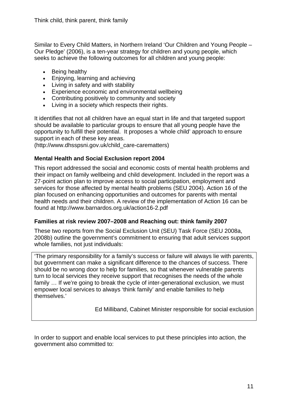Similar to Every Child Matters, in Northern Ireland 'Our Children and Young People – Our Pledge' (2006), is a ten-year strategy for children and young people, which seeks to achieve the following outcomes for all children and young people:

- Being healthy
- Enjoying, learning and achieving
- Living in safety and with stability
- Experience economic and environmental wellbeing
- Contributing positively to community and society
- Living in a society which respects their rights.

It identifies that not all children have an equal start in life and that targeted support should be available to particular groups to ensure that all young people have the opportunity to fulfill their potential. It proposes a 'whole child' approach to ensure support in each of these key areas.

(http://www.dhsspsni.gov.uk/child\_care-carematters)

#### **Mental Health and Social Exclusion report 2004**

This report addressed the social and economic costs of mental health problems and their impact on family wellbeing and child development. Included in the report was a 27-point action plan to improve access to social participation, employment and services for those affected by mental health problems (SEU 2004). Action 16 of the plan focused on enhancing opportunities and outcomes for parents with mental health needs and their children. A review of the implementation of Action 16 can be found at http://www.barnardos.org.uk/action16-2.pdf

#### **Families at risk review 2007–2008 and Reaching out: think family 2007**

These two reports from the Social Exclusion Unit (SEU) Task Force (SEU 2008a, 2008b) outline the government's commitment to ensuring that adult services support whole families, not just individuals:

'The primary responsibility for a family's success or failure will always lie with parents, but government can make a significant difference to the chances of success. There should be no wrong door to help for families, so that whenever vulnerable parents turn to local services they receive support that recognises the needs of the whole family … If we're going to break the cycle of inter-generational exclusion, we must empower local services to always 'think family' and enable families to help themselves.'

Ed Milliband, Cabinet Minister responsible for social exclusion

In order to support and enable local services to put these principles into action, the government also committed to: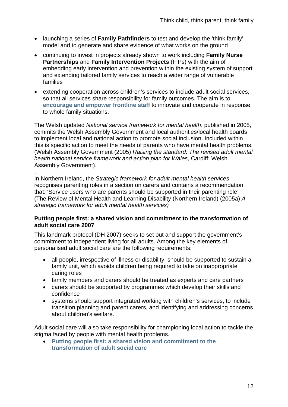- launching a series of **Family Pathfinders** to test and develop the 'think family' model and to generate and share evidence of what works on the ground
- continuing to invest in projects already shown to work including **Family Nurse Partnerships** and **Family Intervention Projects** (FIPs) with the aim of embedding early intervention and prevention within the existing system of support and extending tailored family services to reach a wider range of vulnerable families
- extending cooperation across children's services to include adult social services, so that all services share responsibility for family outcomes. The aim is to **[encourage and empower frontline staff](http://www.cabinetoffice.gov.uk/social_exclusion_task_force/families_at_risk.aspx)** to innovate and cooperate in response to whole family situations.

The Welsh updated *National service framework for mental health*, published in 2005, commits the Welsh Assembly Government and local authorities/local health boards to implement local and national action to promote social inclusion. Included within this is specific action to meet the needs of parents who have mental health problems. (Welsh Assembly Government (2005) *Raising the standard: The revised adult mental health national service framework and action plan for Wales*, Cardiff: Welsh Assembly Government).

In Northern Ireland, the *Strategic framework for adult mental health services*  recognises parenting roles in a section on carers and contains a recommendation that: 'Service users who are parents should be supported in their parenting role' (The Review of Mental Health and Learning Disability (Northern Ireland) (2005a) *A strategic framework for adult mental health services)* 

.

#### **Putting people first: a shared vision and commitment to the transformation of adult social care 2007**

This landmark protocol (DH 2007) seeks to set out and support the government's commitment to independent living for all adults. Among the key elements of personalised adult social care are the following requirements:

- all people, irrespective of illness or disability, should be supported to sustain a family unit, which avoids children being required to take on inappropriate caring roles
- family members and carers should be treated as experts and care partners
- carers should be supported by programmes which develop their skills and confidence
- systems should support integrated working with children's services, to include transition planning and parent carers, and identifying and addressing concerns about children's welfare.

Adult social care will also take responsibility for championing local action to tackle the stigma faced by people with mental health problems.

• **[Putting people first: a shared vision and commitment to the](http://www.dh.gov.uk/en/Publicationsandstatistics/Publications/PublicationsPolicyAndGuidance/DH_081118)  [transformation of adult social care](http://www.dh.gov.uk/en/Publicationsandstatistics/Publications/PublicationsPolicyAndGuidance/DH_081118)**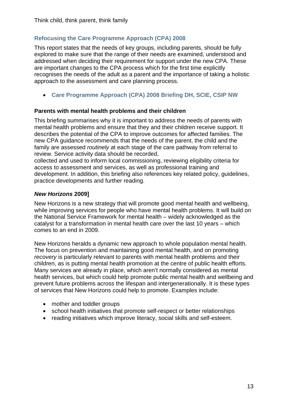### **[Refocusing the Care Programme Approach \(CPA\) 2008](http://www.dh.gov.uk/en/Publicationsandstatistics/Publications/PublicationsPolicyAndGuidance/DH_083647)**

This report states that the needs of key groups, including parents, should be fully explored to make sure that the range of their needs are examined, understood and addressed when deciding their requirement for support under the new CPA. These are important changes to the CPA process which for the first time explicitly recognises the needs of the adult as a parent and the importance of taking a holistic approach to the assessment and care planning process.

• **[Care Programme Approach \(CPA\) 2008 Briefing DH, SCIE, CSIP NW](http://www.scie.org.uk/publications/guides/guide30/files/CPAbriefing.pdf)**

#### **Parents with mental health problems and their children**

This briefing summarises why it is important to address the needs of parents with mental health problems and ensure that they and their children receive support. It describes the potential of the CPA to improve outcomes for affected families. The new CPA guidance recommends that the needs of the parent, the child and the family are assessed *routinely a*t each stage of the care pathway from referral to review. Service activity data should be recorded,

collected and used to inform local commissioning, reviewing eligibility criteria for access to assessment and services, as well as professional training and development. In addition, this briefing also references key related policy, guidelines, practice developments and further reading.

#### *New Horizons* **2009]**

New Horizons is a new strategy that will promote good mental health and wellbeing, while improving services for people who have mental health problems. It will build on the National Service Framework for mental health – widely acknowledged as the catalyst for a transformation in mental health care over the last 10 years – which comes to an end in 2009.

New Horizons heralds a dynamic new approach to whole population mental health. The focus on prevention and maintaining good mental health, and on promoting *recovery* is particularly relevant to parents with mental health problems and their children, as is putting mental health promotion at the centre of public health efforts. Many services are already in place, which aren't normally considered as mental health services, but which could help promote public mental health and wellbeing and prevent future problems across the lifespan and intergenerationally. It is these types of services that New Horizons could help to promote. Examples include:

- mother and toddler groups
- school health initiatives that promote self-respect or better relationships
- reading initiatives which improve literacy, social skills and self-esteem.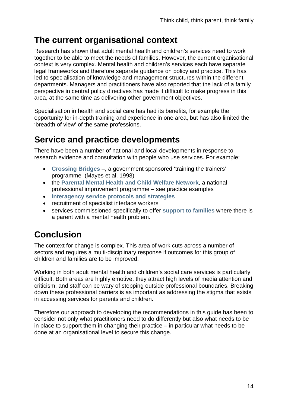# **The current organisational context**

Research has shown that adult mental health and children's services need to work together to be able to meet the needs of families. However, the current organisational context is very complex. Mental health and children's services each have separate legal frameworks and therefore separate guidance on policy and practice. This has led to specialisation of knowledge and management structures within the different departments. Managers and practitioners have also reported that the lack of a family perspective in central policy directives has made it difficult to make progress in this area, at the same time as delivering other government objectives.

Specialisation in health and social care has had its benefits, for example the opportunity for in-depth training and experience in one area, but has also limited the 'breadth of view' of the same professions.

# **Service and practice developments**

There have been a number of national and local developments in response to research evidence and consultation with people who use services. For example:

- **[Crossing Bridges](http://www.dh.gov.uk/en/Publicationsandstatistics/Publications/PublicationsPolicyAndGuidance/DH_4006314)** –, a government sponsored 'training the trainers' programme (Mayes et al. 1998)
- the **[Parental Mental Health and Child Welfare Network](http://www.pmhcwn.org.uk/)**, a national professional improvement programme – see practice examples
- **[interagency service protocols and strategies](http://www.scie.org.uk/publications/guides/guide30/casestudies/case12.asp)**
- recruitment of specialist interface workers
- services commissioned specifically to offer **[support to families](http://www.scie.org.uk/publications/guides/guide30/casestudies/case06.asp)** where there is a parent with a mental health problem.

# **Conclusion**

The context for change is complex. This area of work cuts across a number of sectors and requires a multi-disciplinary response if outcomes for this group of children and families are to be improved.

Working in both adult mental health and children's social care services is particularly difficult. Both areas are highly emotive, they attract high levels of media attention and criticism, and staff can be wary of stepping outside professional boundaries. Breaking down these professional barriers is as important as addressing the stigma that exists in accessing services for parents and children.

Therefore our approach to developing the recommendations in this guide has been to consider not only what practitioners need to do differently but also what needs to be in place to support them in changing their practice – in particular what needs to be done at an organisational level to secure this change.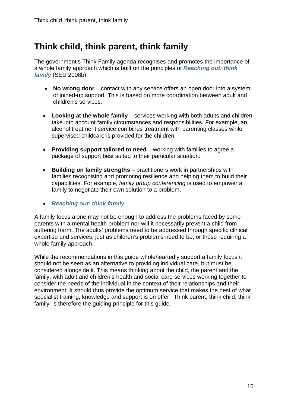# **Think child, think parent, think family**

The government's Think Family agenda recognises and promotes the importance of a whole family approach which is built on the principles of *[Reaching out: think](http://www.cabinetoffice.gov.uk/media/cabinetoffice/social_exclusion_task_force/assets/think_families/think_families_full_report.pdf)  [family](http://www.cabinetoffice.gov.uk/media/cabinetoffice/social_exclusion_task_force/assets/think_families/think_families_full_report.pdf)* (SEU 2008b):

- **No wrong door** contact with any service offers an open door into a system of joined-up support. This is based on more coordination between adult and children's services.
- **Looking at the whole family** services working with both adults and children take into account family circumstances and responsibilities. For example, an alcohol treatment service combines treatment with parenting classes while supervised childcare is provided for the children.
- **Providing support tailored to need** working with families to agree a package of support best suited to their particular situation.
- **Building on family strengths** practitioners work in partnerships with families recognising and promoting resilience and helping them to build their capabilities. For example, *family group conferencing* is used to empower a family to negotiate their own solution to a problem.
- *[Reaching out: think family](http://www.cabinetoffice.gov.uk/social_exclusion_task_force/families_at_risk/reaching_out_summary.aspx)*.

A family focus alone may not be enough to address the problems faced by some parents with a mental health problem nor will it necessarily prevent a child from suffering harm. The adults' problems need to be addressed through specific clinical expertise and services, just as children's problems need to be, or those requiring a whole family approach.

While the recommendations in this guide wholeheartedly support a family focus it should not be seen as an alternative to providing individual care, but must be considered alongside it. This means thinking about the child, the parent and the family, with adult and children's health and social care services working together to consider the needs of the individual in the context of their relationships and their environment. It should thus provide the optimum service that makes the best of what specialist training, knowledge and support is on offer. 'Think parent, think child, think family' is therefore the guiding principle for this guide.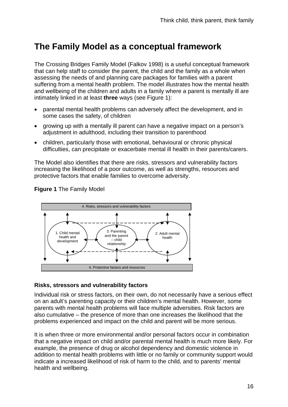# **The Family Model as a conceptual framework**

The Crossing Bridges Family Model (Falkov 1998) is a useful conceptual framework that can help staff to consider the parent, the child and the family as a whole when assessing the needs of and planning care packages for families with a parent suffering from a mental health problem. The model illustrates how the mental health and wellbeing of the children and adults in a family where a parent is mentally ill are intimately linked in at least **three** ways (see Figure 1):

- parental mental health problems can adversely affect the development, and in some cases the safety, of children
- growing up with a mentally ill parent can have a negative impact on a person's adjustment in adulthood, including their transition to parenthood
- children, particularly those with emotional, behavioural or chronic physical difficulties, can precipitate or exacerbate mental ill health in their parents/carers.

The Model also identifies that there are risks, stressors and vulnerability factors increasing the likelihood of a poor outcome, as well as strengths, resources and protective factors that enable families to overcome adversity.



### **Figure 1** The Family Model

#### **Risks, stressors and vulnerability factors**

Individual risk or stress factors, on their own, do not necessarily have a serious effect on an adult's parenting capacity or their children's mental health. However, some parents with mental health problems will face multiple adversities. Risk factors are also cumulative – the presence of more than one increases the likelihood that the problems experienced and impact on the child and parent will be more serious.

It is when three or more environmental and/or personal factors occur in combination that a negative impact on child and/or parental mental health is much more likely. For example, the presence of drug or alcohol dependency and domestic violence in addition to mental health problems with little or no family or community support would indicate a increased likelihood of risk of harm to the child, and to parents' mental health and wellbeing.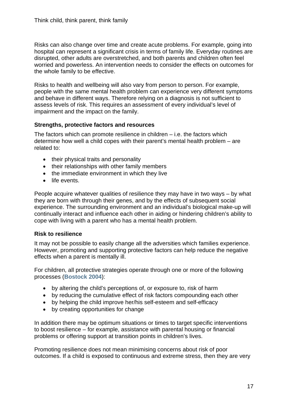Risks can also change over time and create acute problems. For example, going into hospital can represent a significant crisis in terms of family life. Everyday routines are disrupted, other adults are overstretched, and both parents and children often feel worried and powerless. An intervention needs to consider the effects on outcomes for the whole family to be effective.

Risks to health and wellbeing will also vary from person to person. For example, people with the same mental health problem can experience very different symptoms and behave in different ways. Therefore relying on a diagnosis is not sufficient to assess levels of risk. This requires an assessment of every individual's level of impairment and the impact on the family.

#### **Strengths, protective factors and resources**

The factors which can promote resilience in children  $-$  i.e. the factors which determine how well a child copes with their parent's mental health problem – are related to:

- their physical traits and personality
- their relationships with other family members
- the immediate environment in which they live
- life events.

People acquire whatever qualities of resilience they may have in two ways – by what they are born with through their genes, and by the effects of subsequent social experience. The surrounding environment and an individual's biological make-up will continually interact and influence each other in aiding or hindering children's ability to cope with living with a parent who has a mental health problem.

#### **Risk to resilience**

It may not be possible to easily change all the adversities which families experience. However, promoting and supporting protective factors can help reduce the negative effects when a parent is mentally ill.

For children, all protective strategies operate through one or more of the following processes (**[Bostock 2004](http://www.scie.org.uk/publications/guides/guide06/index.asp)**):

- by altering the child's perceptions of, or exposure to, risk of harm
- by reducing the cumulative effect of risk factors compounding each other
- by helping the child improve her/his self-esteem and self-efficacy
- by creating opportunities for change

In addition there may be optimum situations or times to target specific interventions to boost resilience – for example, assistance with parental housing or financial problems or offering support at transition points in children's lives.

Promoting resilience does not mean minimising concerns about risk of poor outcomes. If a child is exposed to continuous and extreme stress, then they are very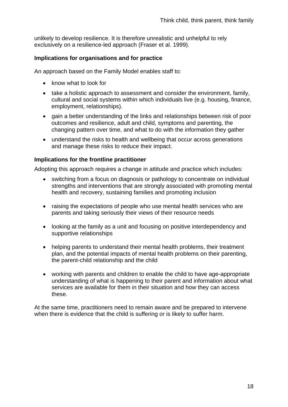unlikely to develop resilience. It is therefore unrealistic and unhelpful to rely exclusively on a resilience-led approach (Fraser et al. 1999).

#### **Implications for organisations and for practice**

An approach based on the Family Model enables staff to:

- know what to look for
- take a holistic approach to assessment and consider the environment, family, cultural and social systems within which individuals live (e.g. housing, finance, employment, relationships).
- gain a better understanding of the links and relationships between risk of poor outcomes and resilience, adult and child, symptoms and parenting, the changing pattern over time, and what to do with the information they gather
- understand the risks to health and wellbeing that occur across generations and manage these risks to reduce their impact.

#### **Implications for the frontline practitioner**

Adopting this approach requires a change in attitude and practice which includes:

- switching from a focus on diagnosis or pathology to concentrate on individual strengths and interventions that are strongly associated with promoting mental health and recovery, sustaining families and promoting inclusion
- raising the expectations of people who use mental health services who are parents and taking seriously their views of their resource needs
- looking at the family as a unit and focusing on positive interdependency and supportive relationships
- helping parents to understand their mental health problems, their treatment plan, and the potential impacts of mental health problems on their parenting, the parent-child relationship and the child
- working with parents and children to enable the child to have age-appropriate understanding of what is happening to their parent and information about what services are available for them in their situation and how they can access these.

At the same time, practitioners need to remain aware and be prepared to intervene when there is evidence that the child is suffering or is likely to suffer harm.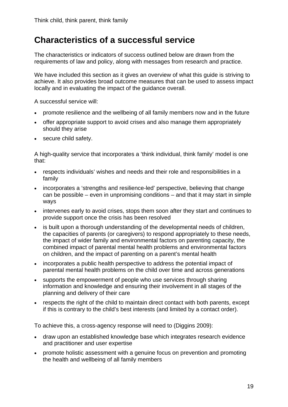### **Characteristics of a successful service**

The characteristics or indicators of success outlined below are drawn from the requirements of law and policy, along with messages from research and practice.

We have included this section as it gives an overview of what this guide is striving to achieve. It also provides broad outcome measures that can be used to assess impact locally and in evaluating the impact of the guidance overall.

A successful service will:

- promote resilience and the wellbeing of all family members now and in the future
- offer appropriate support to avoid crises and also manage them appropriately should they arise
- secure child safety.

A high-quality service that incorporates a 'think individual, think family' model is one that:

- respects individuals' wishes and needs and their role and responsibilities in a family
- incorporates a 'strengths and resilience-led' perspective, believing that change can be possible – even in unpromising conditions – and that it may start in simple ways
- intervenes early to avoid crises, stops them soon after they start and continues to provide support once the crisis has been resolved
- is built upon a thorough understanding of the developmental needs of children, the capacities of parents (or caregivers) to respond appropriately to these needs, the impact of wider family and environmental factors on parenting capacity, the combined impact of parental mental health problems and environmental factors on children, and the impact of parenting on a parent's mental health
- incorporates a public health perspective to address the potential impact of parental mental health problems on the child over time and across generations
- supports the empowerment of people who use services through sharing information and knowledge and ensuring their involvement in all stages of the planning and delivery of their care
- respects the right of the child to maintain direct contact with both parents, except if this is contrary to the child's best interests (and limited by a contact order).

To achieve this, a cross-agency response will need to (Diggins 2009):

- draw upon an established knowledge base which integrates research evidence and practitioner and user expertise
- promote holistic assessment with a genuine focus on prevention and promoting the health and wellbeing of all family members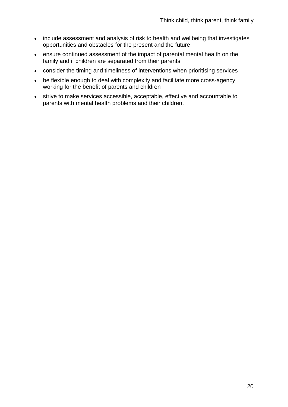- include assessment and analysis of risk to health and wellbeing that investigates opportunities and obstacles for the present and the future
- ensure continued assessment of the impact of parental mental health on the family and if children are separated from their parents
- consider the timing and timeliness of interventions when prioritising services
- be flexible enough to deal with complexity and facilitate more cross-agency working for the benefit of parents and children
- strive to make services accessible, acceptable, effective and accountable to parents with mental health problems and their children.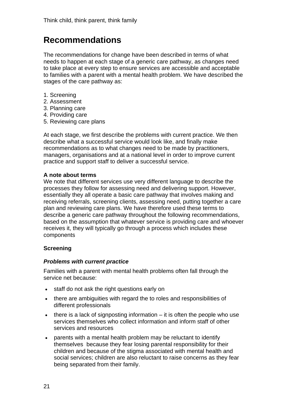### **Recommendations**

The recommendations for change have been described in terms of what needs to happen at each stage of a generic care pathway, as changes need to take place at every step to ensure services are accessible and acceptable to families with a parent with a mental health problem. We have described the stages of the care pathway as:

- 1. Screening
- 2. Assessment
- 3. Planning care
- 4. Providing care
- 5. Reviewing care plans

At each stage, we first describe the problems with current practice. We then describe what a successful service would look like, and finally make recommendations as to what changes need to be made by practitioners, managers, organisations and at a national level in order to improve current practice and support staff to deliver a successful service.

#### **A note about terms**

We note that different services use very different language to describe the processes they follow for assessing need and delivering support. However, essentially they all operate a basic care pathway that involves making and receiving referrals, screening clients, assessing need, putting together a care plan and reviewing care plans. We have therefore used these terms to describe a generic care pathway throughout the following recommendations, based on the assumption that whatever service is providing care and whoever receives it, they will typically go through a process which includes these components

#### **Screening**

#### *Problems with current practice*

Families with a parent with mental health problems often fall through the service net because:

- staff do not ask the right questions early on
- there are ambiguities with regard the to roles and responsibilities of different professionals
- $\bullet$  there is a lack of signposting information it is often the people who use services themselves who collect information and inform staff of other services and resources
- parents with a mental health problem may be reluctant to identify themselves because they fear losing parental responsibility for their children and because of the stigma associated with mental health and social services; children are also reluctant to raise concerns as they fear being separated from their family.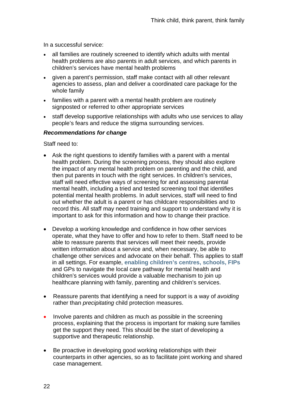In a successful service:

- all families are routinely screened to identify which adults with mental health problems are also parents in adult services, and which parents in children's services have mental health problems
- given a parent's permission, staff make contact with all other relevant agencies to assess, plan and deliver a coordinated care package for the whole family
- families with a parent with a mental health problem are routinely signposted or referred to other appropriate services
- staff develop supportive relationships with adults who use services to allay people's fears and reduce the stigma surrounding services.

#### *Recommendations for change*

Staff need to:

- Ask the right questions to identify families with a parent with a mental health problem. During the screening process, they should also explore the impact of any mental health problem on parenting and the child, and then put parents in touch with the right services. In children's services, staff will need effective ways of screening for and assessing parental mental health, including a tried and tested screening tool that identifies potential mental health problems. In adult services, staff will need to find out whether the adult is a parent or has childcare responsibilities and to record this. All staff may need training and support to understand why it is important to ask for this information and how to change their practice.
- Develop a working knowledge and confidence in how other services operate, what they have to offer and how to refer to them. Staff need to be able to reassure parents that services will meet their needs, provide written information about a service and, when necessary, be able to challenge other services and advocate on their behalf. This applies to staff in all settings. For example, **[enabling children's centres, schools, FIPs](http://www.respect.gov.uk/members/article.aspx?id=8678&terms=FAMILY+INTERVENTION+PROJECTS&searchtype=2&fragment=False)** and GPs to navigate the local care pathway for mental health and children's services would provide a valuable mechanism to join up healthcare planning with family, parenting and children's services.
- Reassure parents that identifying a need for support is a way of *avoiding*  rather than *precipitating* child protection measures.
- Involve parents and children as much as possible in the screening process, explaining that the process is important for making sure families get the support they need. This should be the start of developing a supportive and therapeutic relationship.
- Be proactive in developing good working relationships with their counterparts in other agencies, so as to facilitate joint working and shared case management.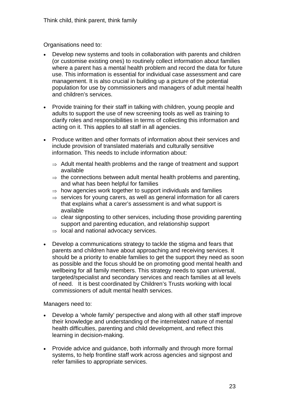Organisations need to:

- Develop new systems and tools in collaboration with parents and children (or customise existing ones) to routinely collect information about families where a parent has a mental health problem and record the data for future use. This information is essential for individual case assessment and care management. It is also crucial in building up a picture of the potential population for use by commissioners and managers of adult mental health and children's services.
- Provide training for their staff in talking with children, young people and adults to support the use of new screening tools as well as training to clarify roles and responsibilities in terms of collecting this information and acting on it. This applies to all staff in all agencies.
- Produce written and other formats of information about their services and include provision of translated materials and culturally sensitive information. This needs to include information about:
	- $\Rightarrow$  Adult mental health problems and the range of treatment and support available
	- $\Rightarrow$  the connections between adult mental health problems and parenting. and what has been helpful for families
	- $\Rightarrow$  how agencies work together to support individuals and families
	- $\Rightarrow$  services for young carers, as well as general information for all carers that explains what a carer's assessment is and what support is available
	- $\Rightarrow$  clear signposting to other services, including those providing parenting support and parenting education, and relationship support
	- ⇒ local and national advocacy services.
- Develop a communications strategy to tackle the stigma and fears that parents and children have about approaching and receiving services. It should be a priority to enable families to get the support they need as soon as possible and the focus should be on promoting good mental health and wellbeing for all family members. This strategy needs to span universal, targeted/specialist and secondary services and reach families at all levels of need. It is best coordinated by Children's Trusts working with local commissioners of adult mental health services.

Managers need to:

- Develop a 'whole family' perspective and along with all other staff improve their knowledge and understanding of the interrelated nature of mental health difficulties, parenting and child development, and reflect this learning in decision-making.
- Provide advice and guidance, both informally and through more formal systems, to help frontline staff work across agencies and signpost and refer families to appropriate services.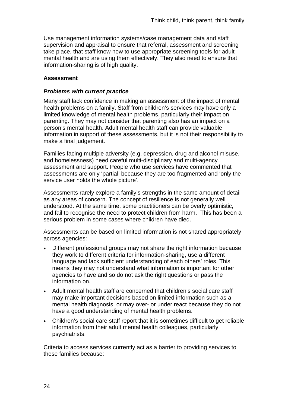Use management information systems/case management data and staff supervision and appraisal to ensure that referral, assessment and screening take place, that staff know how to use appropriate screening tools for adult mental health and are using them effectively. They also need to ensure that information-sharing is of high quality.

#### **Assessment**

#### *Problems with current practice*

Many staff lack confidence in making an assessment of the impact of mental health problems on a family. Staff from children's services may have only a limited knowledge of mental health problems, particularly their impact on parenting. They may not consider that parenting also has an impact on a person's mental health. Adult mental health staff can provide valuable information in support of these assessments, but it is not their responsibility to make a final judgement.

Families facing multiple adversity (e.g. depression, drug and alcohol misuse, and homelessness) need careful multi-disciplinary and multi-agency assessment and support. People who use services have commented that assessments are only 'partial' because they are too fragmented and 'only the service user holds the whole picture'.

Assessments rarely explore a family's strengths in the same amount of detail as any areas of concern. The concept of resilience is not generally well understood. At the same time, some practitioners can be overly optimistic, and fail to recognise the need to protect children from harm. This has been a serious problem in some cases where children have died.

Assessments can be based on limited information is not shared appropriately across agencies:

- Different professional groups may not share the right information because they work to different criteria for information-sharing, use a different language and lack sufficient understanding of each others' roles. This means they may not understand what information is important for other agencies to have and so do not ask the right questions or pass the information on.
- Adult mental health staff are concerned that children's social care staff may make important decisions based on limited information such as a mental health diagnosis, or may over- or under react because they do not have a good understanding of mental health problems.
- Children's social care staff report that it is sometimes difficult to get reliable information from their adult mental health colleagues, particularly psychiatrists.

Criteria to access services currently act as a barrier to providing services to these families because: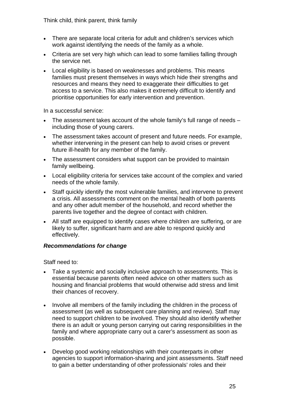Think child, think parent, think family

- There are separate local criteria for adult and children's services which work against identifying the needs of the family as a whole.
- Criteria are set very high which can lead to some families falling through the service net.
- Local eligibility is based on weaknesses and problems. This means families must present themselves in ways which hide their strengths and resources and means they need to exaggerate their difficulties to get access to a service. This also makes it extremely difficult to identify and prioritise opportunities for early intervention and prevention.

In a successful service:

- The assessment takes account of the whole family's full range of needs including those of young carers.
- The assessment takes account of present and future needs. For example, whether intervening in the present can help to avoid crises or prevent future ill-health for any member of the family.
- The assessment considers what support can be provided to maintain family wellbeing.
- Local eligibility criteria for services take account of the complex and varied needs of the whole family.
- Staff quickly identify the most vulnerable families, and intervene to prevent a crisis. All assessments comment on the mental health of both parents and any other adult member of the household, and record whether the parents live together and the degree of contact with children.
- All staff are equipped to identify cases where children are suffering, or are likely to suffer, significant harm and are able to respond quickly and effectively.

#### *Recommendations for change*

Staff need to:

- Take a systemic and socially inclusive approach to assessments. This is essential because parents often need advice on other matters such as housing and financial problems that would otherwise add stress and limit their chances of recovery.
- Involve all members of the family including the children in the process of assessment (as well as subsequent care planning and review). Staff may need to support children to be involved. They should also identify whether there is an adult or young person carrying out caring responsibilities in the family and where appropriate carry out a carer's assessment as soon as possible.
- Develop good working relationships with their counterparts in other agencies to support information-sharing and joint assessments. Staff need to gain a better understanding of other professionals' roles and their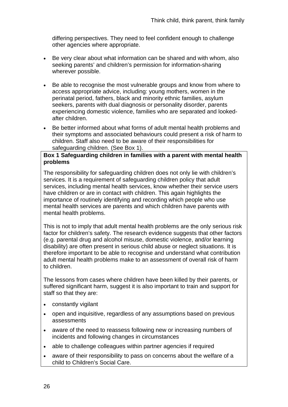differing perspectives. They need to feel confident enough to challenge other agencies where appropriate.

- Be very clear about what information can be shared and with whom, also seeking parents' and children's permission for information-sharing wherever possible.
- Be able to recognise the most vulnerable groups and know from where to access appropriate advice, including: young mothers, women in the perinatal period, fathers, black and minority ethnic families, asylum seekers, parents with dual diagnosis or personality disorder, parents experiencing domestic violence, families who are separated and lookedafter children.
- Be better informed about what forms of adult mental health problems and their symptoms and associated behaviours could present a risk of harm to children. Staff also need to be aware of their responsibilities for safeguarding children. (See Box 1).

#### **Box 1 Safeguarding children in families with a parent with mental health problems**

The responsibility for safeguarding children does not only lie with children's services. It is a requirement of safeguarding children policy that adult services, including mental health services, know whether their service users have children or are in contact with children. This again highlights the importance of routinely identifying and recording which people who use mental health services are parents and which children have parents with mental health problems.

This is not to imply that adult mental health problems are the only serious risk factor for children's safety. The research evidence suggests that other factors (e.g. parental drug and alcohol misuse, domestic violence, and/or learning disability) are often present in serious child abuse or neglect situations. It is therefore important to be able to recognise and understand what contribution adult mental health problems make to an assessment of overall risk of harm to children.

The lessons from cases where children have been killed by their parents, or suffered significant harm, suggest it is also important to train and support for staff so that they are:

- constantly vigilant
- open and inquisitive, regardless of any assumptions based on previous assessments
- aware of the need to reassess following new or increasing numbers of incidents and following changes in circumstances
- able to challenge colleagues within partner agencies if required
- aware of their responsibility to pass on concerns about the welfare of a child to Children's Social Care.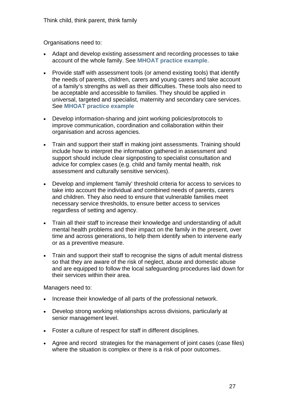Organisations need to:

- Adapt and develop existing assessment and recording processes to take account of the whole family. See **[MHOAT practice example](http://www.health.vic.gov.au/mentalhealth/outcomes/links.htm)**.
- Provide staff with assessment tools (or amend existing tools) that identify the needs of parents, children, carers and young carers and take account of a family's strengths as well as their difficulties. These tools also need to be acceptable and accessible to families. They should be applied in universal, targeted and specialist, maternity and secondary care services. See **[MHOAT practice example](http://www.health.vic.gov.au/mentalhealth/outcomes/links.htm)**
- Develop information-sharing and joint working policies/protocols to improve communication, coordination and collaboration within their organisation and across agencies.
- Train and support their staff in making joint assessments. Training should include how to interpret the information gathered in assessment and support should include clear signposting to specialist consultation and advice for complex cases (e.g. child and family mental health, risk assessment and culturally sensitive services).
- Develop and implement 'family' threshold criteria for access to services to take into account the individual *and* combined needs of parents, carers and children. They also need to ensure that vulnerable families meet necessary service thresholds, to ensure better access to services regardless of setting and agency.
- Train all their staff to increase their knowledge and understanding of adult mental health problems and their impact on the family in the present, over time and across generations, to help them identify when to intervene early or as a preventive measure.
- Train and support their staff to recognise the signs of adult mental distress so that they are aware of the risk of neglect, abuse and domestic abuse and are equipped to follow the local safeguarding procedures laid down for their services within their area.

Managers need to:

- Increase their knowledge of all parts of the professional network.
- Develop strong working relationships across divisions, particularly at senior management level.
- Foster a culture of respect for staff in different disciplines.
- Agree and record strategies for the management of joint cases (case files) where the situation is complex or there is a risk of poor outcomes.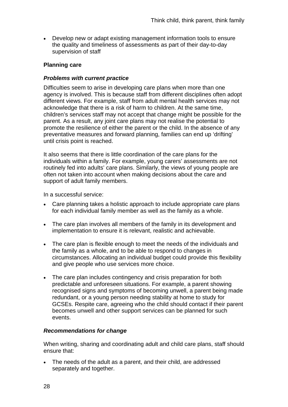• Develop new or adapt existing management information tools to ensure the quality and timeliness of assessments as part of their day-to-day supervision of staff

#### **Planning care**

#### *Problems with current practice*

Difficulties seem to arise in developing care plans when more than one agency is involved. This is because staff from different disciplines often adopt different views. For example, staff from adult mental health services may not acknowledge that there is a risk of harm to children. At the same time, children's services staff may not accept that change might be possible for the parent. As a result, any joint care plans may not realise the potential to promote the resilience of either the parent or the child. In the absence of any preventative measures and forward planning, families can end up 'drifting' until crisis point is reached.

It also seems that there is little coordination of the care plans for the individuals within a family. For example, young carers' assessments are not routinely fed into adults' care plans. Similarly, the views of young people are often not taken into account when making decisions about the care and support of adult family members.

In a successful service:

- Care planning takes a holistic approach to include appropriate care plans for each individual family member as well as the family as a whole.
- The care plan involves all members of the family in its development and implementation to ensure it is relevant, realistic and achievable.
- The care plan is flexible enough to meet the needs of the individuals and the family as a whole, and to be able to respond to changes in circumstances. Allocating an individual budget could provide this flexibility and give people who use services more choice.
- The care plan includes contingency and crisis preparation for both predictable and unforeseen situations. For example, a parent showing recognised signs and symptoms of becoming unwell, a parent being made redundant, or a young person needing stability at home to study for GCSEs. Respite care, agreeing who the child should contact if their parent becomes unwell and other support services can be planned for such events.

#### *Recommendations for change*

When writing, sharing and coordinating adult and child care plans, staff should ensure that:

• The needs of the adult as a parent, and their child, are addressed separately and together.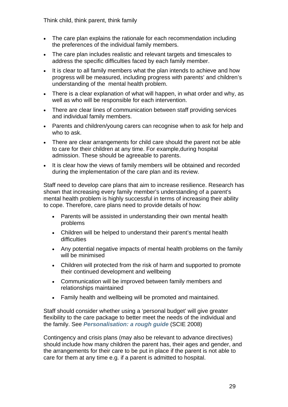Think child, think parent, think family

- The care plan explains the rationale for each recommendation including the preferences of the individual family members.
- The care plan includes realistic and relevant targets and timescales to address the specific difficulties faced by each family member.
- It is clear to all family members what the plan intends to achieve and how progress will be measured, including progress with parents' and children's understanding of the mental health problem.
- There is a clear explanation of what will happen, in what order and why, as well as who will be responsible for each intervention.
- There are clear lines of communication between staff providing services and individual family members.
- Parents and children/voung carers can recognise when to ask for help and who to ask.
- There are clear arrangements for child care should the parent not be able to care for their children at any time. For example,during hospital admission. These should be agreeable to parents.
- It is clear how the views of family members will be obtained and recorded during the implementation of the care plan and its review.

Staff need to develop care plans that aim to increase resilience. Research has shown that increasing every family member's understanding of a parent's mental health problem is highly successful in terms of increasing their ability to cope. Therefore, care plans need to provide details of how:

- Parents will be assisted in understanding their own mental health problems
- Children will be helped to understand their parent's mental health difficulties
- Any potential negative impacts of mental health problems on the family will be minimised
- Children will protected from the risk of harm and supported to promote their continued development and wellbeing
- Communication will be improved between family members and relationships maintained
- Family health and wellbeing will be promoted and maintained.

Staff should consider whether using a 'personal budget' will give greater flexibility to the care package to better meet the needs of the individual and the family. See *[Personalisation: a rough guide](http://www.scie.org.uk/publications/reports/personalisation.asp)* (SCIE 2008)

Contingency and crisis plans (may also be relevant to advance directives) should include how many children the parent has, their ages and gender, and the arrangements for their care to be put in place if the parent is not able to care for them at any time e.g. if a parent is admitted to hospital.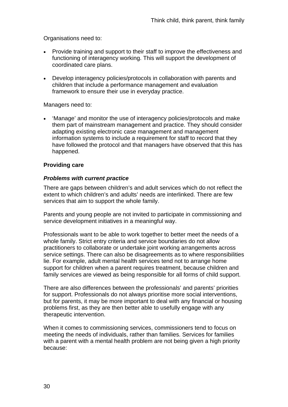Organisations need to:

- Provide training and support to their staff to improve the effectiveness and functioning of interagency working. This will support the development of coordinated care plans.
- Develop interagency policies/protocols in collaboration with parents and children that include a performance management and evaluation framework to ensure their use in everyday practice.

Managers need to:

• 'Manage' and monitor the use of interagency policies/protocols and make them part of mainstream management and practice. They should consider adapting existing electronic case management and management information systems to include a requirement for staff to record that they have followed the protocol and that managers have observed that this has happened.

#### **Providing care**

#### *Problems with current practice*

There are gaps between children's and adult services which do not reflect the extent to which children's and adults' needs are interlinked. There are few services that aim to support the whole family.

Parents and young people are not invited to participate in commissioning and service development initiatives in a meaningful way.

Professionals want to be able to work together to better meet the needs of a whole family. Strict entry criteria and service boundaries do not allow practitioners to collaborate or undertake joint working arrangements across service settings. There can also be disagreements as to where responsibilities lie. For example, adult mental health services tend not to arrange home support for children when a parent requires treatment, because children and family services are viewed as being responsible for all forms of child support.

There are also differences between the professionals' and parents' priorities for support. Professionals do not always prioritise more social interventions, but for parents, it may be more important to deal with any financial or housing problems first, as they are then better able to usefully engage with any therapeutic intervention.

When it comes to commissioning services, commissioners tend to focus on meeting the needs of individuals, rather than families. Services for families with a parent with a mental health problem are not being given a high priority because: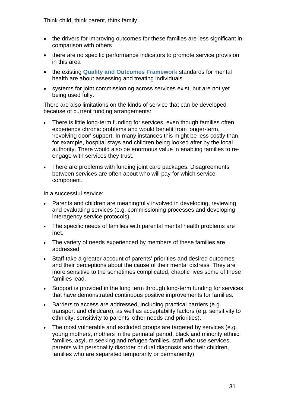Think child, think parent, think family

- the drivers for improving outcomes for these families are less significant in comparison with others
- there are no specific performance indicators to promote service provision in this area
- the existing **[Quality and Outcomes Framework](http://www.dh.gov.uk/en/Healthcare/Primarycare/Primarycarecontracting/QOF/DH_099079)** standards for mental health are about assessing and treating individuals
- systems for joint commissioning across services exist, but are not yet being used fully.

There are also limitations on the kinds of service that can be developed because of current funding arrangements:

- There is little long-term funding for services, even though families often experience chronic problems and would benefit from longer-term, 'revolving door' support. In many instances this might be less costly than, for example, hospital stays and children being looked after by the local authority. There would also be enormous value in enabling families to reengage with services they trust.
- There are problems with funding joint care packages. Disagreements between services are often about who will pay for which service component.

In a successful service:

- Parents and children are meaningfully involved in developing, reviewing and evaluating services (e.g. commissioning processes and developing interagency service protocols).
- The specific needs of families with parental mental health problems are met.
- The variety of needs experienced by members of these families are addressed.
- Staff take a greater account of parents' priorities and desired outcomes and their perceptions about the cause of their mental distress. They are more sensitive to the sometimes complicated, chaotic lives some of these families lead.
- Support is provided in the long term through long-term funding for services that have demonstrated continuous positive improvements for families.
- Barriers to access are addressed, including practical barriers (e.g. transport and childcare), as well as acceptability factors (e.g. sensitivity to ethnicity, sensitivity to parents' other needs and priorities).
- The most vulnerable and excluded groups are targeted by services (e.g. young mothers, mothers in the perinatal period, black and minority ethnic families, asylum seeking and refugee families, staff who use services, parents with personality disorder or dual diagnosis and their children, families who are separated temporarily or permanently).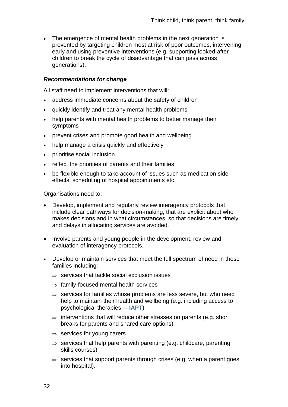• The emergence of mental health problems in the next generation is prevented by targeting children most at risk of poor outcomes, intervening early and using preventive interventions (e.g. supporting looked-after children to break the cycle of disadvantage that can pass across generations).

#### *Recommendations for change*

All staff need to implement interventions that will:

- address immediate concerns about the safety of children
- quickly identify and treat any mental health problems
- help parents with mental health problems to better manage their symptoms
- prevent crises and promote good health and wellbeing
- help manage a crisis quickly and effectively
- prioritise social inclusion
- reflect the priorities of parents and their families
- be flexible enough to take account of issues such as medication sideeffects, scheduling of hospital appointments etc.

Organisations need to:

- Develop, implement and regularly review interagency protocols that include clear pathways for decision-making, that are explicit about who makes decisions and in what circumstances, so that decisions are timely and delays in allocating services are avoided.
- Involve parents and young people in the development, review and evaluation of interagency protocols.
- Develop or maintain services that meet the full spectrum of need in these families including:
	- $\Rightarrow$  services that tackle social exclusion issues
	- $\Rightarrow$  family-focused mental health services
	- $\Rightarrow$  services for families whose problems are less severe, but who need help to maintain their health and wellbeing (e.g. including access to psychological therapies – **[IAPT](http://www.iapt.nhs.uk/)**)
	- $\Rightarrow$  interventions that will reduce other stresses on parents (e.g. short breaks for parents and shared care options)
	- $\Rightarrow$  services for young carers
	- $\Rightarrow$  services that help parents with parenting (e.g. childcare, parenting skills courses)
	- $\Rightarrow$  services that support parents through crises (e.g. when a parent goes into hospital).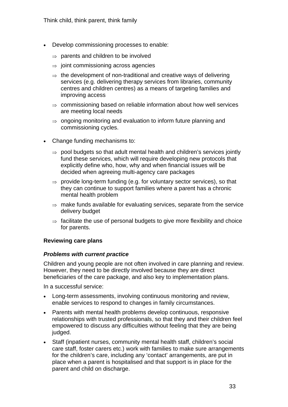- Develop commissioning processes to enable:
	- $\Rightarrow$  parents and children to be involved
	- $\Rightarrow$  joint commissioning across agencies
	- $\Rightarrow$  the development of non-traditional and creative ways of delivering services (e.g. delivering therapy services from libraries, community centres and children centres) as a means of targeting families and improving access
	- ⇒ commissioning based on reliable information about how well services are meeting local needs
	- ⇒ ongoing monitoring and evaluation to inform future planning and commissioning cycles.
- Change funding mechanisms to:
	- $\Rightarrow$  pool budgets so that adult mental health and children's services jointly fund these services, which will require developing new protocols that explicitly define who, how, why and when financial issues will be decided when agreeing multi-agency care packages
	- $\Rightarrow$  provide long-term funding (e.g. for voluntary sector services), so that they can continue to support families where a parent has a chronic mental health problem
	- $\Rightarrow$  make funds available for evaluating services, separate from the service delivery budget
	- $\Rightarrow$  facilitate the use of personal budgets to give more flexibility and choice for parents.

### **Reviewing care plans**

#### *Problems with current practice*

Children and young people are not often involved in care planning and review. However, they need to be directly involved because they are direct beneficiaries of the care package, and also key to implementation plans.

In a successful service:

- Long-term assessments, involving continuous monitoring and review, enable services to respond to changes in family circumstances.
- Parents with mental health problems develop continuous, responsive relationships with trusted professionals, so that they and their children feel empowered to discuss any difficulties without feeling that they are being judged.
- Staff (inpatient nurses, community mental health staff, children's social care staff, foster carers etc.) work with families to make sure arrangements for the children's care, including any 'contact' arrangements, are put in place when a parent is hospitalised and that support is in place for the parent and child on discharge.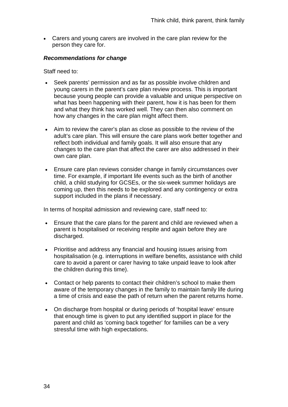• Carers and young carers are involved in the care plan review for the person they care for.

## *Recommendations for change*

Staff need to:

- Seek parents' permission and as far as possible involve children and young carers in the parent's care plan review process. This is important because young people can provide a valuable and unique perspective on what has been happening with their parent, how it is has been for them and what they think has worked well. They can then also comment on how any changes in the care plan might affect them.
- Aim to review the carer's plan as close as possible to the review of the adult's care plan. This will ensure the care plans work better together and reflect both individual and family goals. It will also ensure that any changes to the care plan that affect the carer are also addressed in their own care plan.
- Ensure care plan reviews consider change in family circumstances over time. For example, if important life events such as the birth of another child, a child studying for GCSEs, or the six-week summer holidays are coming up, then this needs to be explored and any contingency or extra support included in the plans if necessary.

In terms of hospital admission and reviewing care, staff need to:

- Ensure that the care plans for the parent and child are reviewed when a parent is hospitalised or receiving respite and again before they are discharged.
- Prioritise and address any financial and housing issues arising from hospitalisation (e.g. interruptions in welfare benefits, assistance with child care to avoid a parent or carer having to take unpaid leave to look after the children during this time).
- Contact or help parents to contact their children's school to make them aware of the temporary changes in the family to maintain family life during a time of crisis and ease the path of return when the parent returns home.
- On discharge from hospital or during periods of 'hospital leave' ensure that enough time is given to put any identified support in place for the parent and child as 'coming back together' for families can be a very stressful time with high expectations.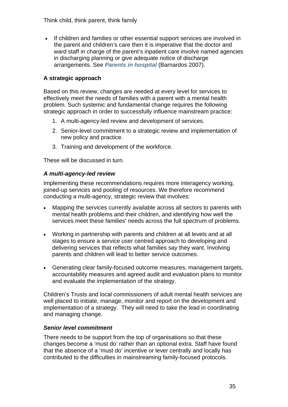• If children and families or other essential support services are involved in the parent and children's care then it is imperative that the doctor and ward staff in charge of the parent's inpatient care involve named agencies in discharging planning or give adequate notice of discharge arrangements. See *[Parents in hospital](http://www.barnardos.org.uk/parents_in_hospital_final_report_july_2007.pdf)* (Barnardos 2007).

# **A strategic approach**

Based on this review, changes are needed at every level for services to effectively meet the needs of families with a parent with a mental health problem. Such systemic and fundamental change requires the following strategic approach in order to successfully influence mainstream practice:

- 1. A multi-agency-led review and development of services.
- 2. Senior-level commitment to a strategic review and implementation of new policy and practice.
- 3. Training and development of the workforce.

These will be discussed in turn.

# *A multi-agency-led review*

Implementing these recommendations requires more interagency working, joined-up services and pooling of resources. We therefore recommend conducting a multi-agency, strategic review that involves:

- Mapping the services currently available across all sectors to parents with mental health problems and their children, and identifying how well the services meet these families' needs across the full spectrum of problems.
- Working in partnership with parents and children at all levels and at all stages to ensure a service user centred approach to developing and delivering services that reflects what families say they want. Involving parents and children will lead to better service outcomes.
- Generating clear family-focused outcome measures, management targets, accountability measures and agreed audit and evaluation plans to monitor and evaluate the implementation of the strategy.

Children's Trusts and local commissioners of adult mental health services are well placed to initiate, manage, monitor and report on the development and implementation of a strategy. They will need to take the lead in coordinating and managing change.

# *Senior level commitment*

There needs to be support from the top of organisations so that these changes become a 'must do' rather than an optional extra. Staff have found that the absence of a 'must do' incentive or lever centrally and locally has contributed to the difficulties in mainstreaming family-focused protocols.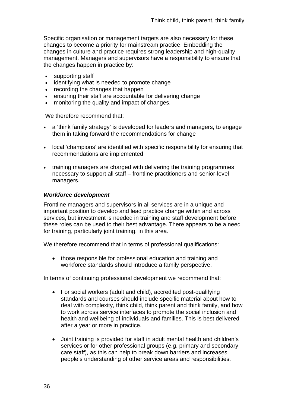Specific organisation or management targets are also necessary for these changes to become a priority for mainstream practice. Embedding the changes in culture and practice requires strong leadership and high-quality management. Managers and supervisors have a responsibility to ensure that the changes happen in practice by:

- supporting staff
- identifying what is needed to promote change
- recording the changes that happen
- ensuring their staff are accountable for delivering change
- monitoring the quality and impact of changes.

We therefore recommend that:

- a 'think family strategy' is developed for leaders and managers, to engage them in taking forward the recommendations for change
- local 'champions' are identified with specific responsibility for ensuring that recommendations are implemented
- training managers are charged with delivering the training programmes necessary to support all staff – frontline practitioners and senior-level managers.

### *Workforce development*

Frontline managers and supervisors in all services are in a unique and important position to develop and lead practice change within and across services, but investment is needed in training and staff development before these roles can be used to their best advantage. There appears to be a need for training, particularly joint training, in this area.

We therefore recommend that in terms of professional qualifications:

• those responsible for professional education and training and workforce standards should introduce a family perspective.

In terms of continuing professional development we recommend that:

- For social workers (adult and child), accredited post-qualifying standards and courses should include specific material about how to deal with complexity, think child, think parent and think family, and how to work across service interfaces to promote the social inclusion and health and wellbeing of individuals and families. This is best delivered after a year or more in practice.
- Joint training is provided for staff in adult mental health and children's services or for other professional groups (e.g. primary and secondary care staff), as this can help to break down barriers and increases people's understanding of other service areas and responsibilities.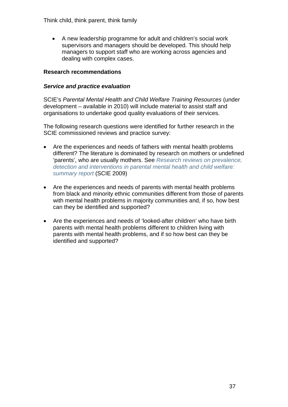Think child, think parent, think family

• A new leadership programme for adult and children's social work supervisors and managers should be developed. This should help managers to support staff who are working across agencies and dealing with complex cases.

# **Research recommendations**

# *Service and practice evaluation*

SCIE's *Parental Mental Health and Child Welfare Training Resources* (under development – available in 2010) will include material to assist staff and organisations to undertake good quality evaluations of their services.

The following research questions were identified for further research in the SCIE commissioned reviews and practice survey:

- Are the experiences and needs of fathers with mental health problems different? The literature is dominated by research on mothers or undefined 'parents', who are usually mothers. See *[Research reviews on prevalence,](http://www.scie.org.uk/publications/guides/guide30/files/yorkreview.pdf)  [detection and interventions in parental mental health and child welfare:](http://www.scie.org.uk/publications/guides/guide30/files/yorkreview.pdf)  [summary report](http://www.scie.org.uk/publications/guides/guide30/files/yorkreview.pdf)* (SCIE 2009)
- Are the experiences and needs of parents with mental health problems from black and minority ethnic communities different from those of parents with mental health problems in majority communities and, if so, how best can they be identified and supported?
- Are the experiences and needs of 'looked-after children' who have birth parents with mental health problems different to children living with parents with mental health problems, and if so how best can they be identified and supported?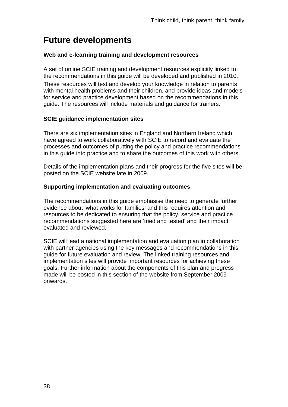# **Future developments**

## **Web and e-learning training and development resources**

A set of online SCIE training and development resources explicitly linked to the recommendations in this guide will be developed and published in 2010.

These resources will test and develop your knowledge in relation to parents with mental health problems and their children, and provide ideas and models for service and practice development based on the recommendations in this guide. The resources will include materials and guidance for trainers.

## **SCIE guidance implementation sites**

There are six implementation sites in England and Northern Ireland which have agreed to work collaboratively with SCIE to record and evaluate the processes and outcomes of putting the policy and practice recommendations in this guide into practice and to share the outcomes of this work with others.

Details of the implementation plans and their progress for the five sites will be posted on the SCIE website late in 2009.

## **Supporting implementation and evaluating outcomes**

The recommendations in this guide emphasise the need to generate further evidence about 'what works for families' and this requires attention and resources to be dedicated to ensuring that the policy, service and practice recommendations suggested here are 'tried and tested' and their impact evaluated and reviewed.

SCIE will lead a national implementation and evaluation plan in collaboration with partner agencies using the key messages and recommendations in this guide for future evaluation and review. The linked training resources and implementation sites will provide important resources for achieving these goals. Further information about the components of this plan and progress made will be posted in this section of the website from September 2009 onwards.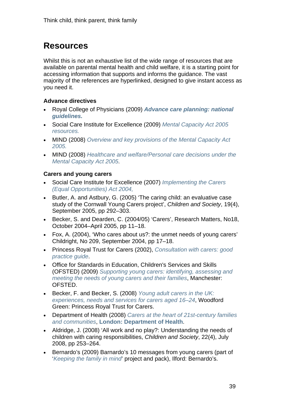# **Resources**

Whilst this is not an exhaustive list of the wide range of resources that are available on parental mental health and child welfare, it is a starting point for accessing information that supports and informs the guidance. The vast majority of the references are hyperlinked, designed to give instant access as you need it.

# **Advance directives**

- Royal College of Physicians (2009) *[Advance care planning: national](http://www.rcplondon.ac.uk/pubs/contents/9c95f6ea-c57e-4db8-bd98-fc12ba31c8fe.pdf)  [guidelines.](http://www.rcplondon.ac.uk/pubs/contents/9c95f6ea-c57e-4db8-bd98-fc12ba31c8fe.pdf)*
- Social Care Institute for Excellence (2009) *[Mental Capacity Act 2005](http://www.scie.org.uk/publications/mca/index.asp)  [resources.](http://www.scie.org.uk/publications/mca/index.asp)*
- MIND (2008) *[Overview and key provisions of the Mental Capacity Act](http://www.mind.org.uk/Information/Legal/Briefing+1+-+Overview+and+Key+Provisions+of+the+Mental+Capacity+Act+2005.htm)  [2005.](http://www.mind.org.uk/Information/Legal/Briefing+1+-+Overview+and+Key+Provisions+of+the+Mental+Capacity+Act+2005.htm)*
- MIND (2008) *[Healthcare and welfare/Personal care decisions under the](http://www.mind.org.uk/Information/Legal/Briefing+4+Healthcare+and+Welfare+Personal+Care+Decisions+under+the+Mental+Capacity+Act+2005.htm)  [Mental Capacity Act 2005](http://www.mind.org.uk/Information/Legal/Briefing+4+Healthcare+and+Welfare+Personal+Care+Decisions+under+the+Mental+Capacity+Act+2005.htm)*.

# **Carers and young carers**

- Social Care Institute for Excellence (2007) *[Implementing the Carers](http://www.scie.org.uk/publications/guides/guide09/index.asp)  [\(Equal Opportunities\) Act 2004,](http://www.scie.org.uk/publications/guides/guide09/index.asp)*
- Butler, A. and Astbury, G. (2005) 'The caring child: an evaluative case study of the Cornwall Young Carers project', *Children and Society*, 19(4), September 2005, pp 292–303.
- Becker, S. and Dearden, C. (2004/05) 'Carers', Research Matters, No18, October 2004–April 2005, pp 11–18.
- Fox, A. (2004), 'Who cares about us?: the unmet needs of young carers' Childright, No 209, September 2004, pp 17–18.
- Princess Royal Trust for Carers (2002), *[Consultation with carers: good](http://www.carers.org/data/files/consultation-9.pdf)  [practice guide](http://www.carers.org/data/files/consultation-9.pdf)*.
- Office for Standards in Education, Children's Services and Skills (OFSTED) (2009) *[Supporting young carers: identifying, assessing and](http://www.ofsted.gov.uk/Ofsted-home/Publications-and-research/Browse-all-by/Documents-by-type/Thematic-reports/Supporting-young-carers)  [meeting the needs of young carers and their families](http://www.ofsted.gov.uk/Ofsted-home/Publications-and-research/Browse-all-by/Documents-by-type/Thematic-reports/Supporting-young-carers)*, Manchester: OFSTED.
- Becker, F. and Becker, S. (2008) *[Young adult carers in the UK:](http://static.carers.org/files/yac20report-final-241008-3787.pdf)  [experiences, needs and services for carers aged 16–24](http://static.carers.org/files/yac20report-final-241008-3787.pdf)*, Woodford Green: Princess Royal Trust for Carers.
- Department of Health (2008) *[Carers at the heart of 21st-century families](http://www.dh.gov.uk/en/Publicationsandstatistics/Publications/PublicationsPolicyAndGuidance/DH_085345)  [and communities](http://www.dh.gov.uk/en/Publicationsandstatistics/Publications/PublicationsPolicyAndGuidance/DH_085345)*, **[London: Department of Health](http://www.scie-socialcareonline.org.uk/searchp.asp?query=author=%22GREAT%20BRITAIN.%20Department%20of%20Health%22)**.
- Aldridge, J. (2008) 'All work and no play?: Understanding the needs of children with caring responsibilities, *Children and Society*, 22(4), July 2008, pp 253–264.
- Bernardo's (2009) Barnardo's 10 messages from young carers (part of '*[Keeping the family in mind](http://www.barnardos.org.uk/resources/research_and_publications/books_and_tools_tools_for_professionals.htm#kfmpack)*' project and pack), Ilford: Bernardo's.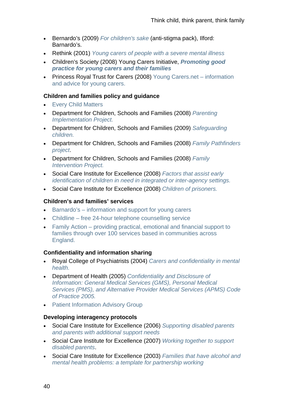- Bernardo's (2009) *[For children's sake](http://www.barnardos.org.uk/resources/research_and_publications/books_and_tools_tools_for_professionals.htm)* (anti-stigma pack), Ilford: Barnardo's.
- Rethink (2001) *[Young carers of people with a severe mental illness](http://www.rethink.org/search_clicks.rm?id=498&destinationtype=2&instanceid=310428)*
- Children's Society (2008) Young Carers Initiative, *[Promoting good](http://www.youngcarer.com/showPage.php?file=initiative.htm)  [practice for young carers and their families](http://www.youngcarer.com/showPage.php?file=initiative.htm)*
- Princess Royal Trust for Carers (2008) [Young Carers.net information](http://www.youngcarers.net/)  [and advice for young carers.](http://www.youngcarers.net/)

## **Children and families policy and guidance**

- [Every Child Matters](http://www.everychildmatters.gov.uk/)
- Department for Children, Schools and Families (2008) *[Parenting](http://www.dcsf.gov.uk/everychildmatters/strategy/parents/pip/pip/)  [Implementation Project.](http://www.dcsf.gov.uk/everychildmatters/strategy/parents/pip/pip/)*
- Department for Children, Schools and Families (2009) *[Safeguarding](http://www.dcsf.gov.uk/everychildmatters/safeguardingandsocialcare/safeguardingchildren/safeguarding/)  [children.](http://www.dcsf.gov.uk/everychildmatters/safeguardingandsocialcare/safeguardingchildren/safeguarding/)*
- Department for Children, Schools and Families (2008) *[Family Pathfinders](http://www.dcsf.gov.uk/everychildmatters/strategy/parents/pathfinders/familypathfinders/)  [project](http://www.dcsf.gov.uk/everychildmatters/strategy/parents/pathfinders/familypathfinders/)*.
- Department for Children, Schools and Families (2008) *[Family](http://www.dcsf.gov.uk/everychildmatters/news-and-communications/local-authority-circulars-2008-2011/lac0907080001/)  [Intervention Project.](http://www.dcsf.gov.uk/everychildmatters/news-and-communications/local-authority-circulars-2008-2011/lac0907080001/)*
- Social Care Institute for Excellence (2008) *[Factors that assist early](http://www.scie.org.uk/publications/briefings/briefing27/index.asp)  [identification of children in need in integrated or inter-agency settings.](http://www.scie.org.uk/publications/briefings/briefing27/index.asp)*
- Social Care Institute for Excellence (2008) *[Children of prisoners.](http://www.scie.org.uk/publications/elearning/cop/index.asp)*

## **Children's and families' services**

- [Barnardo's information and support for young carers](http://www.barnardos.org.uk/resources/research_and_publications/books_and_tools_tools_for_professionals.htm)
- Childline free 24-hour telephone counselling service
- [Family Action providing practical, emotional and financial support to](http://www.family-action.org.uk/)  [families through over 100 services based in communities across](http://www.family-action.org.uk/)  [England.](http://www.family-action.org.uk/)

### **Confidentiality and information sharing**

- Royal College of Psychiatrists (2004) *[Carers and confidentiality in mental](http://www.rcpsych.ac.uk/PDF/Carersandconfidentiality.pdf)  [health.](http://www.rcpsych.ac.uk/PDF/Carersandconfidentiality.pdf)*
- Department of Health (2005) *[Confidentiality and Disclosure of](http://www.dh.gov.uk/en/Publicationsandstatistics/Publications/PublicationsPolicyAndGuidance/DH_4107303)  [Information: General Medical Services \(GMS\), Personal Medical](http://www.dh.gov.uk/en/Publicationsandstatistics/Publications/PublicationsPolicyAndGuidance/DH_4107303)  [Services \(PMS\), and Alternative Provider Medical Services \(APMS\) Code](http://www.dh.gov.uk/en/Publicationsandstatistics/Publications/PublicationsPolicyAndGuidance/DH_4107303)  [of Practice 2005.](http://www.dh.gov.uk/en/Publicationsandstatistics/Publications/PublicationsPolicyAndGuidance/DH_4107303)*
- [Patient Information Advisory Group](http://www.dh.gov.uk/ab/PIAG/index.htm)

### **Developing interagency protocols**

- Social Care Institute for Excellence (2006) *[Supporting disabled parents](http://www.scie.org.uk/publications/knowledgereviews/kr11.asp)  [and parents with additional support needs](http://www.scie.org.uk/publications/knowledgereviews/kr11.asp)*
- Social Care Institute for Excellence (2007) *[Working together to support](http://www.scie.org.uk/publications/guides/guide19/index.asp)  [disabled parents](http://www.scie.org.uk/publications/guides/guide19/index.asp)*.
- Social Care Institute for Excellence (2003) *[Families that have alcohol and](http://www.scie.org.uk/publications/guides/guide02/index.asp)  mental health problems: a template for partnership working*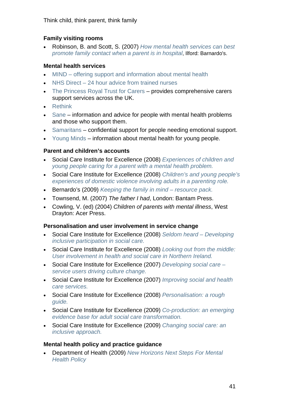Think child, think parent, think family

# **Family visiting rooms**

• Robinson, B. and Scott, S. (2007) *[How mental health services can best](http://www.barnardos.org.uk/parents_in_hospital_summary_report_july_2007.pdf)  [promote family contact when a parent is in hospital](http://www.barnardos.org.uk/parents_in_hospital_summary_report_july_2007.pdf)*, Ilford: Barnardo's.

# **Mental health services**

- [MIND offering support and information about mental health](http://www.mind.org.uk/Information/Legal/Briefing+4+Healthcare+and+Welfare+Personal+Care+Decisions+under+the+Mental+Capacity+Act+2005.htm)
- NHS Direct 24 hour advice from trained nurses
- [The Princess Royal Trust for Carers](http://www.carers.org/data/files/consultation-9.pdf) provides comprehensive carers support services across the UK.
- [Rethink](http://www.rethink.org/)
- [Sane](http://www.sane.org.uk/)  information and advice for people with mental health problems and those who support them.
- [Samaritans](http://www.samaritans.org/)  confidential support for people needing emotional support.
- [Young Minds](http://www.youngminds.org.uk/) information about mental health for young people.

# **Parent and children's accounts**

- Social Care Institute for Excellence (2008) *[Experiences of children and](http://www.scie.org.uk/publications/briefings/briefing24/index.asp)  [young people caring for a parent with a mental health problem.](http://www.scie.org.uk/publications/briefings/briefing24/index.asp)*
- Social Care Institute for Excellence (2008) *[Children's and young people's](http://www.scie.org.uk/publications/briefings/briefing25/index.asp)  [experiences of domestic violence involving adults in a parenting role.](http://www.scie.org.uk/publications/briefings/briefing25/index.asp)*
- Bernardo's (2009) *[Keeping the family in mind resource pack.](http://www.barnardos.org.uk/resources/research_and_publications/books_and_tools_tools_for_professionals.htm#kfmpack)*
- Townsend, M. (2007) *The father I had*, London: Bantam Press.
- Cowling, V. (ed) (2004) *Children of parents with mental illness*, West Drayton: Acer Press.

# **Personalisation and user involvement in service change**

- Social Care Institute for Excellence (2008) *[Seldom heard Developing](http://www.scie.org.uk/publications/positionpapers/pp10.asp)  [inclusive participation in social care.](http://www.scie.org.uk/publications/positionpapers/pp10.asp)*
- Social Care Institute for Excellence (2008) *[Looking out from the middle:](http://www.scie.org.uk/publications/reports/report18.asp)  [User involvement in health and social care in Northern Ireland.](http://www.scie.org.uk/publications/reports/report18.asp)*
- Social Care Institute for Excellence (2007) *[Developing social care](http://www.scie.org.uk/publications/knowledgereviews/kr17.asp)  [service users driving culture change.](http://www.scie.org.uk/publications/knowledgereviews/kr17.asp)*
- Social Care Institute for Excellence (2007) *[Improving social and health](http://www.scie.org.uk/publications/knowledgereviews/kr16.asp)  [care services.](http://www.scie.org.uk/publications/knowledgereviews/kr16.asp)*
- Social Care Institute for Excellence (2008) *[Personalisation: a rough](http://www.scie.org.uk/publications/reports/report20.asp)  [guide.](http://www.scie.org.uk/publications/reports/report20.asp)*
- Social Care Institute for Excellence (2009) *[Co-production: an emerging](http://www.scie.org.uk/publications/briefings/briefing31/index.asp)  [evidence base for adult social care transformation.](http://www.scie.org.uk/publications/briefings/briefing31/index.asp)*
- Social Care Institute for Excellence (2009) *[Changing social care: an](http://www.scie.org.uk/publications/guides/guide29/index.asp)  [inclusive approach.](http://www.scie.org.uk/publications/guides/guide29/index.asp)*

# **Mental health policy and practice guidance**

• Department of Health (2009) *[New Horizons Next Steps For Mental](http://www.dh.gov.uk/en/Healthcare/Mentalhealth/NationalDirectorforMentalHealth/DH_4031946)  [Health Policy](http://www.dh.gov.uk/en/Healthcare/Mentalhealth/NationalDirectorforMentalHealth/DH_4031946)*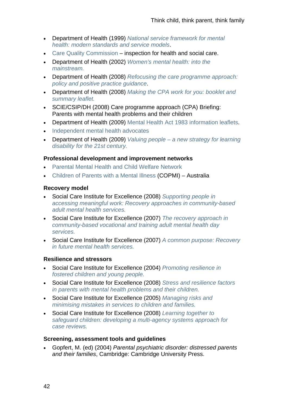- Department of Health (1999) *[National service framework for mental](http://www.dh.gov.uk/en/Publicationsandstatistics/Publications/PublicationsPolicyAndGuidance/DH_4009598)  [health: modern standards and service models](http://www.dh.gov.uk/en/Publicationsandstatistics/Publications/PublicationsPolicyAndGuidance/DH_4009598)*.
- [Care Quality Commission](http://www.cqc.org.uk/)  inspection for health and social care.
- Department of Health (2002) *[Women's mental health: into the](http://www.dh.gov.uk/en/Consultations/Closedconsultations/DH_4075478)  [mainstream.](http://www.dh.gov.uk/en/Consultations/Closedconsultations/DH_4075478)*
- Department of Health (2008) *[Refocusing the care programme approach:](http://www.dh.gov.uk/en/Publicationsandstatistics/Publications/PublicationsPolicyAndGuidance/DH_083647)  [policy and positive practice guidance](http://www.dh.gov.uk/en/Publicationsandstatistics/Publications/PublicationsPolicyAndGuidance/DH_083647)*.
- Department of Health (2008) *[Making the CPA work for you: booklet and](http://www.dh.gov.uk/en/Publicationsandstatistics/Publications/PublicationsPolicyAndGuidance/DH_083650)  [summary leaflet.](http://www.dh.gov.uk/en/Publicationsandstatistics/Publications/PublicationsPolicyAndGuidance/DH_083650)*
- SCIE/CSIP/DH (2008) Care programme approach (CPA) Briefing: Parents with mental health problems and their children
- Department of Health (2009) [Mental Health Act 1983 information leaflets](http://www.dh.gov.uk/en/Publicationsandstatistics/Publications/PublicationsPolicyAndGuidance/DH_089275).
- [Independent mental health advocates](http://www.dh.gov.uk/en/Healthcare/Mentalhealth/DH_091895)
- Department of Health (2009) *[Valuing people a new strategy for learning](http://www.dh.gov.uk/en/Publicationsandstatistics/Publications/PublicationsPolicyAndGuidance/DH_4007429)  [disability for the 21st century.](http://www.dh.gov.uk/en/Publicationsandstatistics/Publications/PublicationsPolicyAndGuidance/DH_4007429)*

### **Professional development and improvement networks**

- [Parental Mental Health and Child Welfare Network](http://www.pmhcwn.org.uk/)
- [Children of Parents with a Mental Illness](http://www.copmi.net.au/) (COPMI) Australia

### **Recovery model**

- Social Care Institute for Excellence (2008) *[Supporting people in](http://www.scie.org.uk/publications/knowledgereviews/kr21.asp)  [accessing meaningful work: Recovery approaches in community-based](http://www.scie.org.uk/publications/knowledgereviews/kr21.asp)  [adult mental health services.](http://www.scie.org.uk/publications/knowledgereviews/kr21.asp)*
- Social Care Institute for Excellence (2007) *[The recovery approach in](http://www.scie.org.uk/publications/map/map02.asp)  [community-based vocational and training adult mental health day](http://www.scie.org.uk/publications/map/map02.asp)  [services.](http://www.scie.org.uk/publications/map/map02.asp)*
- Social Care Institute for Excellence (2007) *[A common purpose: Recovery](http://www.scie.org.uk/publications/positionpapers/pp08.asp)  [in future mental health services.](http://www.scie.org.uk/publications/positionpapers/pp08.asp)*

### **Resilience and stressors**

- Social Care Institute for Excellence (2004) *[Promoting resilience in](http://www.scie.org.uk/publications/guides/guide06/index.asp)  [fostered children and young people.](http://www.scie.org.uk/publications/guides/guide06/index.asp)*
- Social Care Institute for Excellence (2008) *[Stress and resilience factors](http://www.scie.org.uk/publications/briefings/briefing23/index.asp)  [in parents with mental health problems and their children.](http://www.scie.org.uk/publications/briefings/briefing23/index.asp)*
- Social Care Institute for Excellence (2005) *[Managing risks and](http://www.scie.org.uk/publications/reports/report06.asp)  [minimising mistakes in services to children and families.](http://www.scie.org.uk/publications/reports/report06.asp)*
- Social Care Institute for Excellence (2008) *[Learning together to](http://www.scie.org.uk/publications/guides/guide24/index.asp)  [safeguard children: developing a multi-agency systems approach for](http://www.scie.org.uk/publications/guides/guide24/index.asp)  [case reviews.](http://www.scie.org.uk/publications/guides/guide24/index.asp)*

### **Screening, assessment tools and guidelines**

• Gopfert, M. (ed) (2004) *Parental psychiatric disorder: distressed parents and their families*, Cambridge: Cambridge University Press.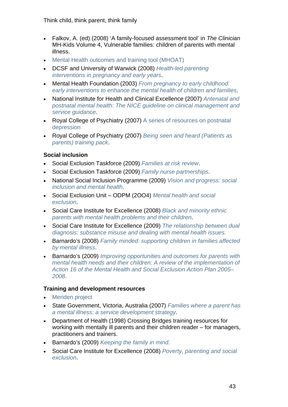Think child, think parent, think family

- Falkov, A. (ed) (2008) 'A family-focused assessment tool' in *The Clinician* MH-Kids Volume 4, Vulnerable families: children of parents with mental illness.
- [Mental Health outcomes and training tool \(MHOAT\)](http://www.health.vic.gov.au/mentalhealth/outcomes/links.htm)
- DCSF and University of Warwick (2008) *[Health-led parenting](http://www.dcsf.gov.uk/research/data/uploadfiles/DCSF-RW070.pdf)  [interventions in pregnancy and early years](http://www.dcsf.gov.uk/research/data/uploadfiles/DCSF-RW070.pdf)*.
- Mental Health Foundation (2003) *[From pregnancy to early childhood:](http://www.mhf.org.uk/EasysiteWeb/getresource.axd?AssetID=38638&type=Full&servicetype=Attachment)  [early interventions to enhance the mental health of children and families](http://www.mhf.org.uk/EasysiteWeb/getresource.axd?AssetID=38638&type=Full&servicetype=Attachment)*.
- National Institute for Health and Clinical Excellence (2007) *[Antenatal and](http://www.nice.org.uk/nicemedia/pdf/CG45fullguideline.pdf)  [postnatal mental health: The NICE guideline on clinical management and](http://www.nice.org.uk/nicemedia/pdf/CG45fullguideline.pdf)  [service guidance](http://www.nice.org.uk/nicemedia/pdf/CG45fullguideline.pdf)*.
- Roval College of Psychiatry (2007) A series of resources on postnatal [depression](http://www.rcpsych.ac.uk/mentalhealthinformation/mentalhealthproblems/postnatalmentalhealth.aspx)
- Royal College of Psychiatry (2007) *[Being seen and heard \(Patients as](http://www.rcpsych.ac.uk/campaigns/partnersincare/beingseenandheard.aspx)  [parents\) training pack](http://www.rcpsych.ac.uk/campaigns/partnersincare/beingseenandheard.aspx)*.

# **Social inclusion**

- Social Exclusion Taskforce (2009) *[Families at risk review](http://www.cabinetoffice.gov.uk/social_exclusion_task_force/families_at_risk.aspx)*.
- Social Exclusion Taskforce (2009) *[Family nurse partnerships](http://www.cabinetoffice.gov.uk/social_exclusion_task_force/family_nurse_partnership.aspx)*.
- National Social Inclusion Programme (2009) *[Vision and progress: social](http://www.socialinclusion.org.uk/publications/NSIP_Vision_and_Progress.pdf)  [inclusion and mental health](http://www.socialinclusion.org.uk/publications/NSIP_Vision_and_Progress.pdf)*.
- Social Exclusion Unit ODPM (2OO4) *[Mental health and social](http://www.socialinclusion.org.uk/publications/SEU.pdf?zoom_highlight=mental+health+and+social+exclusion#search=)  [exclusion](http://www.socialinclusion.org.uk/publications/SEU.pdf?zoom_highlight=mental+health+and+social+exclusion#search=)*.
- Social Care Institute for Excellence (2008) *[Black and minority ethnic](http://www.scie.org.uk/publications/briefings/briefing29/index.asp)  [parents with mental health problems and their children](http://www.scie.org.uk/publications/briefings/briefing29/index.asp)*.
- Social Care Institute for Excellence (2009) *[The relationship between dual](http://www.scie.org.uk/publications/briefings/briefing30/index.asp)  [diagnosis: substance misuse and dealing with mental health issues.](http://www.scie.org.uk/publications/briefings/briefing30/index.asp)*
- Barnardo's (2008) *[Family minded: supporting children in families affected](http://www.barnardos.org.uk/family_minded_report.pdf)  [by mental illness](http://www.barnardos.org.uk/family_minded_report.pdf)*.
- Barnardo's (2009) *[Improving opportunities and outcomes for parents with](http://www.barnardos.org.uk/action16-2.pdf)  [mental health needs and their children: A review of the implementation of](http://www.barnardos.org.uk/action16-2.pdf)  [Action 16 of the Mental Health and Social Exclusion Action Plan 2005–](http://www.barnardos.org.uk/action16-2.pdf) [2008](http://www.barnardos.org.uk/action16-2.pdf)*.

# **Training and development resources**

- [Meriden project](http://www.meridenfamilyprogramme.com/resources.php)
- State Government, Victoria, Australia (2007) *[Families where a parent has](http://www.health.vic.gov.au/mentalhealth/families/families.pdf)  [a mental illness: a service development strategy](http://www.health.vic.gov.au/mentalhealth/families/families.pdf)*.
- Department of Health (1998) Crossing Bridges training resources for working with mentally ill parents and their children reader – for managers, practitioners and trainers.
- Barnardo's (2009) *[Keeping the family in mind.](http://www.barnardos.org.uk/resources/research_and_publications/books_and_tools_tools_for_professionals.htm#kfmpack)*
- Social Care Institute for Excellence (2008) *[Poverty, parenting and social](http://www.scie.org.uk/publications/elearning/poverty/index.asp)  [exclusion](http://www.scie.org.uk/publications/elearning/poverty/index.asp)*.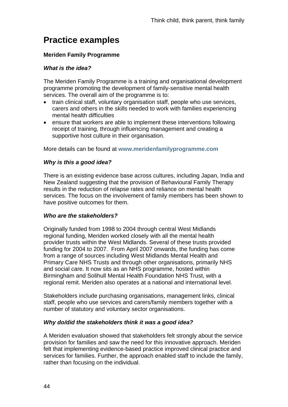# **Practice examples**

# **Meriden Family Programme**

# *What is the idea?*

The Meriden Family Programme is a training and organisational development programme promoting the development of family-sensitive mental health services. The overall aim of the programme is to:

- train clinical staff, voluntary organisation staff, people who use services, carers and others in the skills needed to work with families experiencing mental health difficulties
- ensure that workers are able to implement these interventions following receipt of training, through influencing management and creating a supportive host culture in their organisation.

More details can be found at **[www.meridenfamilyprogramme.com](http://www.meridenfamilyprogramme.com/)**

## *Why is this a good idea?*

There is an existing evidence base across cultures, including Japan, India and New Zealand suggesting that the provision of Behavioural Family Therapy results in the reduction of relapse rates and reliance on mental health services. The focus on the involvement of family members has been shown to have positive outcomes for them.

### *Who are the stakeholders?*

Originally funded from 1998 to 2004 through central West Midlands regional funding, Meriden worked closely with all the mental health provider trusts within the West Midlands. Several of these trusts provided funding for 2004 to 2007. From April 2007 onwards, the funding has come from a range of sources including West Midlands Mental Health and Primary Care NHS Trusts and through other organisations, primarily NHS and social care. It now sits as an NHS programme, hosted within Birmingham and Solihull Mental Health Foundation NHS Trust, with a regional remit. Meriden also operates at a national and international level.

Stakeholders include purchasing organisations, management links, clinical staff, people who use services and carers/family members together with a number of statutory and voluntary sector organisations.

### *Why do/did the stakeholders think it was a good idea?*

A Meriden evaluation showed that stakeholders felt strongly about the service provision for families and saw the need for this innovative approach. Meriden felt that implementing evidence-based practice improved clinical practice and services for families. Further, the approach enabled staff to include the family, rather than focusing on the individual.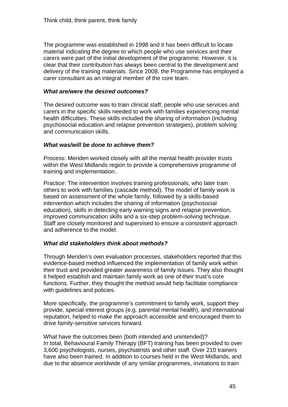The programme was established in 1998 and it has been difficult to locate material indicating the degree to which people who use services and their carers were part of the initial development of the programme. However, it is clear that their contribution has always been central to the development and delivery of the training materials. Since 2008, the Programme has employed a carer consultant as an integral member of the core team.

## *What are/were the desired outcomes?*

The desired outcome was to train clinical staff, people who use services and carers in the specific skills needed to work with families experiencing mental health difficulties. These skills included the sharing of information (including psychosocial education and relapse prevention strategies), problem solving and communication skills.

## *What was/will be done to achieve them?*

Process: Meriden worked closely with all the mental health provider trusts within the West Midlands region to provide a comprehensive programme of training and implementation..

Practice: The intervention involves training professionals, who later train others to work with families (cascade method). The model of family work is based on assessment of the whole family, followed by a skills-based intervention which includes the sharing of information (psychosocial education), skills in detecting early warning signs and relapse prevention, improved communication skills and a six-step problem-solving technique. Staff are closely monitored and supervised to ensure a consistent approach and adherence to the model.

# *What did stakeholders think about methods?*

Through Meriden's own evaluation processes, stakeholders reported that this evidence-based method influenced the implementation of family work within their trust and provided greater awareness of family issues. They also thought it helped establish and maintain family work as one of their trust's core functions. Further, they thought the method would help facilitate compliance with guidelines and policies.

More specifically, the programme's commitment to family work, support they provide, special interest groups (e.g. parental mental health), and international reputation, helped to make the approach accessible and encouraged them to drive family-sensitive services forward.

What have the outcomes been (both intended and unintended)? In total, Behavioural Family Therapy (BFT) training has been provided to over 3,600 psychologists, nurses, psychiatrists and other staff. Over 210 trainers have also been trained. In addition to courses held in the West Midlands, and due to the absence worldwide of any similar programmes, invitations to train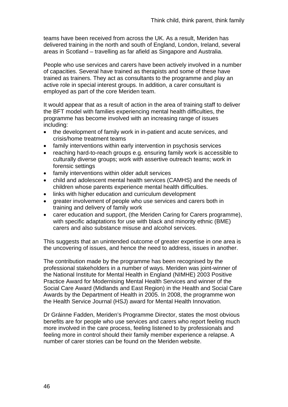teams have been received from across the UK. As a result, Meriden has delivered training in the north and south of England, London, Ireland, several areas in Scotland – travelling as far afield as Singapore and Australia.

People who use services and carers have been actively involved in a number of capacities. Several have trained as therapists and some of these have trained as trainers. They act as consultants to the programme and play an active role in special interest groups. In addition, a carer consultant is employed as part of the core Meriden team.

It would appear that as a result of action in the area of training staff to deliver the BFT model with families experiencing mental health difficulties, the programme has become involved with an increasing range of issues including:

- the development of family work in in-patient and acute services, and crisis/home treatment teams
- family interventions within early intervention in psychosis services
- reaching hard-to-reach groups e.g. ensuring family work is accessible to culturally diverse groups; work with assertive outreach teams; work in forensic settings
- family interventions within older adult services
- child and adolescent mental health services (CAMHS) and the needs of children whose parents experience mental health difficulties.
- links with higher education and curriculum development
- greater involvement of people who use services and carers both in training and delivery of family work
- carer education and support, (the Meriden Caring for Carers programme), with specific adaptations for use with black and minority ethnic (BME) carers and also substance misuse and alcohol services.

This suggests that an unintended outcome of greater expertise in one area is the uncovering of issues, and hence the need to address, issues in another.

The contribution made by the programme has been recognised by the professional stakeholders in a number of ways. Meriden was joint-winner of the National Institute for Mental Health in England (NIMHE) 2003 Positive Practice Award for Modernising Mental Health Services and winner of the Social Care Award (Midlands and East Region) in the Health and Social Care Awards by the Department of Health in 2005. In 2008, the programme won the Health Service Journal (HSJ) award for Mental Health Innovation.

Dr Gráinne Fadden, Meriden's Programme Director, states the most obvious benefits are for people who use services and carers who report feeling much more involved in the care process, feeling listened to by professionals and feeling more in control should their family member experience a relapse. A number of carer stories can be found on the Meriden website.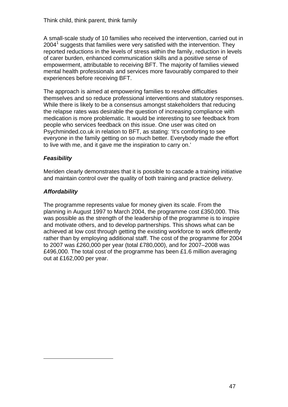A small-scale study of 10 families who received the intervention, carried out in  $2004<sup>1</sup>$  suggests that families were very satisfied with the intervention. They reported reductions in the levels of stress within the family, reduction in levels of carer burden, enhanced communication skills and a positive sense of empowerment, attributable to receiving BFT. The majority of families viewed mental health professionals and services more favourably compared to their experiences before receiving BFT.

The approach is aimed at empowering families to resolve difficulties themselves and so reduce professional interventions and statutory responses. While there is likely to be a consensus amongst stakeholders that reducing the relapse rates was desirable the question of increasing compliance with medication is more problematic. It would be interesting to see feedback from people who services feedback on this issue. One user was cited on Psychminded.co.uk in relation to BFT, as stating: 'It's comforting to see everyone in the family getting on so much better. Everybody made the effort to live with me, and it gave me the inspiration to carry on.'

# *Feasibility*

Meriden clearly demonstrates that it is possible to cascade a training initiative and maintain control over the quality of both training and practice delivery.

# *Affordability*

1

The programme represents value for money given its scale. From the planning in August 1997 to March 2004, the programme cost £350,000. This was possible as the strength of the leadership of the programme is to inspire and motivate others, and to develop partnerships. This shows what can be achieved at low cost through getting the existing workforce to work differently rather than by employing additional staff. The cost of the programme for 2004 to 2007 was £260,000 per year (total £780,000), and for 2007–2008 was £496,000. The total cost of the programme has been £1.6 million averaging out at £162,000 per year.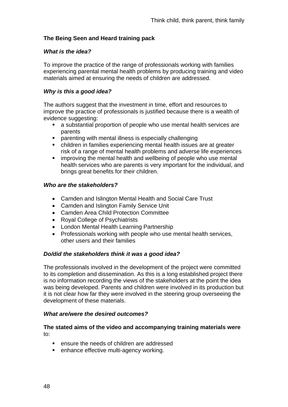# **The Being Seen and Heard training pack**

## *What is the idea?*

To improve the practice of the range of professionals working with families experiencing parental mental health problems by producing training and video materials aimed at ensuring the needs of children are addressed.

# *Why is this a good idea?*

The authors suggest that the investment in time, effort and resources to improve the practice of professionals is justified because there is a wealth of evidence suggesting:

- a substantial proportion of people who use mental health services are parents
- parenting with mental illness is especially challenging
- children in families experiencing mental health issues are at greater risk of a range of mental health problems and adverse life experiences
- **EXEDENT** improving the mental health and wellbeing of people who use mental health services who are parents is very important for the individual, and brings great benefits for their children.

## *Who are the stakeholders?*

- Camden and Islington Mental Health and Social Care Trust
- Camden and Islington Family Service Unit
- Camden Area Child Protection Committee
- Royal College of Psychiatrists
- London Mental Health Learning Partnership
- Professionals working with people who use mental health services, other users and their families

### *Do/did the stakeholders think it was a good idea?*

The professionals involved in the development of the project were committed to its completion and dissemination. As this is a long established project there is no information recording the views of the stakeholders at the point the idea was being developed. Parents and children were involved in its production but it is not clear how far they were involved in the steering group overseeing the development of these materials.

### *What are/were the desired outcomes?*

### **The stated aims of the video and accompanying training materials were**  to:

- ensure the needs of children are addressed
- **EXECTE:** enhance effective multi-agency working.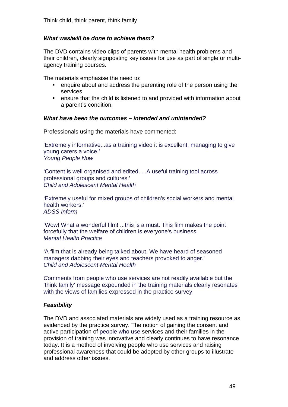# *What was/will be done to achieve them?*

The DVD contains video clips of parents with mental health problems and their children, clearly signposting key issues for use as part of single or multiagency training courses.

The materials emphasise the need to:

- enquire about and address the parenting role of the person using the services
- ensure that the child is listened to and provided with information about a parent's condition.

#### *What have been the outcomes – intended and unintended?*

Professionals using the materials have commented:

'Extremely informative...as a training video it is excellent, managing to give young carers a voice.' *Young People Now*

'Content is well organised and edited. ...A useful training tool across professional groups and cultures.' *Child and Adolescent Mental Health*

'Extremely useful for mixed groups of children's social workers and mental health workers.' *ADSS Inform*

'Wow! What a wonderful film! ...this is a must. This film makes the point forcefully that the welfare of children is everyone's business. *Mental Health Practice*

'A film that is already being talked about. We have heard of seasoned managers dabbing their eyes and teachers provoked to anger.' *Child and Adolescent Mental Health* 

*C*omments from people who use services are not readily available but the 'think family' message expounded in the training materials clearly resonates with the views of families expressed in the practice survey.

### *Feasibility*

The DVD and associated materials are widely used as a training resource as evidenced by the practice survey. The notion of gaining the consent and active participation of people who use services and their families in the provision of training was innovative and clearly continues to have resonance today. It is a method of involving people who use services and raising professional awareness that could be adopted by other groups to illustrate and address other issues.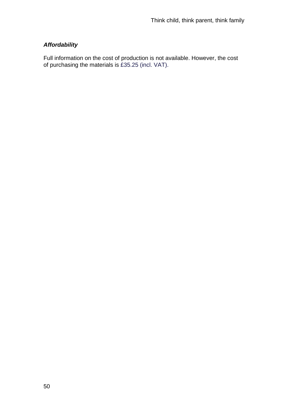# *Affordability*

Full information on the cost of production is not available. However, the cost of purchasing the materials is £35.25 (incl. VAT).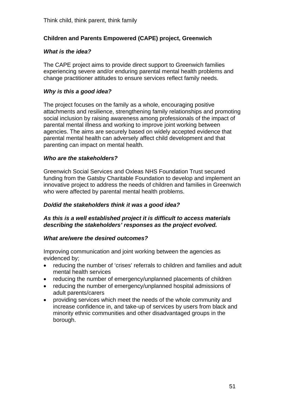# **Children and Parents Empowered (CAPE) project, Greenwich**

## *What is the idea?*

The CAPE project aims to provide direct support to Greenwich families experiencing severe and/or enduring parental mental health problems and change practitioner attitudes to ensure services reflect family needs.

# *Why is this a good idea?*

The project focuses on the family as a whole, encouraging positive attachments and resilience, strengthening family relationships and promoting social inclusion by raising awareness among professionals of the impact of parental mental illness and working to improve joint working between agencies. The aims are securely based on widely accepted evidence that parental mental health can adversely affect child development and that parenting can impact on mental health.

## *Who are the stakeholders?*

Greenwich Social Services and Oxleas NHS Foundation Trust secured funding from the Gatsby Charitable Foundation to develop and implement an innovative project to address the needs of children and families in Greenwich who were affected by parental mental health problems.

## *Do/did the stakeholders think it was a good idea?*

### *As this is a well established project it is difficult to access materials describing the stakeholders' responses as the project evolved.*

### *What are/were the desired outcomes?*

Improving communication and joint working between the agencies as evidenced by;

- reducing the number of 'crises' referrals to children and families and adult mental health services
- reducing the number of emergency/unplanned placements of children
- reducing the number of emergency/unplanned hospital admissions of adult parents/carers
- providing services which meet the needs of the whole community and increase confidence in, and take-up of services by users from black and minority ethnic communities and other disadvantaged groups in the borough.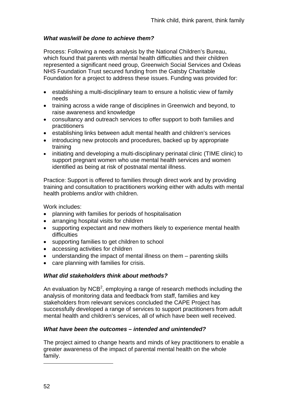# *What was/will be done to achieve them?*

Process: Following a needs analysis by the National Children's Bureau, which found that parents with mental health difficulties and their children represented a significant need group, Greenwich Social Services and Oxleas NHS Foundation Trust secured funding from the Gatsby Charitable Foundation for a project to address these issues. Funding was provided for:

- establishing a multi-disciplinary team to ensure a holistic view of family needs
- training across a wide range of disciplines in Greenwich and beyond, to raise awareness and knowledge
- consultancy and outreach services to offer support to both families and practitioners
- establishing links between adult mental health and children's services
- introducing new protocols and procedures, backed up by appropriate training
- initiating and developing a multi-disciplinary perinatal clinic (TIME clinic) to support pregnant women who use mental health services and women identified as being at risk of postnatal mental illness.

Practice: Support is offered to families through direct work and by providing training and consultation to practitioners working either with adults with mental health problems and/or with children.

Work includes:

- planning with families for periods of hospitalisation
- arranging hospital visits for children
- supporting expectant and new mothers likely to experience mental health difficulties
- supporting families to get children to school
- accessing activities for children
- understanding the impact of mental illness on them parenting skills
- care planning with families for crisis.

# *What did stakeholders think about methods?*

An evaluation by NCB<sup>2</sup>, employing a range of research methods including the analysis of monitoring data and feedback from staff, families and key stakeholders from relevant services concluded the CAPE Project has successfully developed a range of services to support practitioners from adult mental health and children's services, all of which have been well received.

# *What have been the outcomes – intended and unintended?*

The project aimed to change hearts and minds of key practitioners to enable a greater awareness of the impact of parental mental health on the whole family.

52

1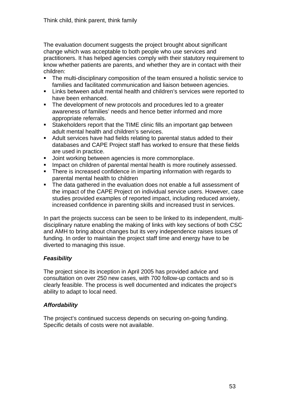The evaluation document suggests the project brought about significant change which was acceptable to both people who use services and practitioners. It has helped agencies comply with their statutory requirement to know whether patients are parents, and whether they are in contact with their children:

- The multi-disciplinary composition of the team ensured a holistic service to families and facilitated communication and liaison between agencies.
- **EXTER** Links between adult mental health and children's services were reported to have been enhanced.
- The development of new protocols and procedures led to a greater awareness of families' needs and hence better informed and more appropriate referrals.
- Stakeholders report that the TIME clinic fills an important gap between adult mental health and children's services.
- Adult services have had fields relating to parental status added to their databases and CAPE Project staff has worked to ensure that these fields are used in practice.
- **Joint working between agencies is more commonplace.**
- **IMPACT ON CHILD FOR THE METH IMPACT ON CHILD FOR THE IMPACT ON CHILD FOR THE IMPACT ON THE IMPACT ON THE IMPACT ON CHILD FOR THE IMPACT ON CHILD FOR THE IMPACT ON CHILD FOR THE IMPACT ON CHILD FOR THE IMPACT ON CHILD FOR**
- There is increased confidence in imparting information with regards to parental mental health to children
- The data gathered in the evaluation does not enable a full assessment of the impact of the CAPE Project on individual service users. However, case studies provided examples of reported impact, including reduced anxiety, increased confidence in parenting skills and increased trust in services.

In part the projects success can be seen to be linked to its independent, multidisciplinary nature enabling the making of links with key sections of both CSC and AMH to bring about changes but its very independence raises issues of funding. In order to maintain the project staff time and energy have to be diverted to managing this issue.

# *Feasibility*

The project since its inception in April 2005 has provided advice and consultation on over 250 new cases, with 700 follow-up contacts and so is clearly feasible. The process is well documented and indicates the project's ability to adapt to local need.

# *Affordability*

The project's continued success depends on securing on-going funding. Specific details of costs were not available.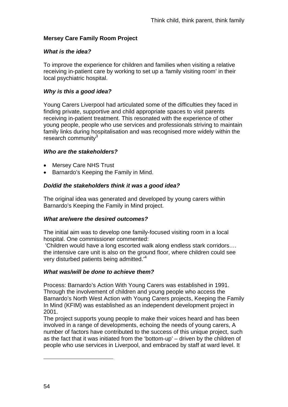# **Mersey Care Family Room Project**

# *What is the idea?*

To improve the experience for children and families when visiting a relative receiving in-patient care by working to set up a 'family visiting room' in their local psychiatric hospital.

# *Why is this a good idea?*

Young Carers Liverpool had articulated some of the difficulties they faced in finding private, supportive and child appropriate spaces to visit parents receiving in-patient treatment. This resonated with the experience of other young people, people who use services and professionals striving to maintain family links during hospitalisation and was recognised more widely within the research community $3$ 

# *Who are the stakeholders?*

- Mersey Care NHS Trust
- Barnardo's Keeping the Family in Mind.

# *Do/did the stakeholders think it was a good idea?*

The original idea was generated and developed by young carers within Barnardo's Keeping the Family in Mind project.

# *What are/were the desired outcomes?*

The initial aim was to develop one family-focused visiting room in a local hospital. One commissioner commented:

 'Children would have a long escorted walk along endless stark corridors.… the intensive care unit is also on the ground floor, where children could see very disturbed patients being admitted.'<sup>4</sup>

# *What was/will be done to achieve them?*

Process: Barnardo's Action With Young Carers was established in 1991. Through the involvement of children and young people who access the Barnardo's North West Action with Young Carers projects, Keeping the Family In Mind (KFIM) was established as an independent development project in 2001.

The project supports young people to make their voices heard and has been involved in a range of developments, echoing the needs of young carers, A number of factors have contributed to the success of this unique project, such as the fact that it was initiated from the 'bottom-up' – driven by the children of people who use services in Liverpool, and embraced by staff at ward level. It

1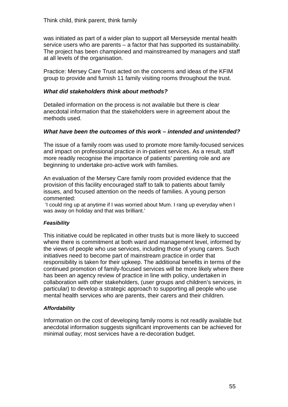was initiated as part of a wider plan to support all Merseyside mental health service users who are parents – a factor that has supported its sustainability. The project has been championed and mainstreamed by managers and staff at all levels of the organisation.

Practice: Mersey Care Trust acted on the concerns and ideas of the KFIM group to provide and furnish 11 family visiting rooms throughout the trust.

## *What did stakeholders think about methods?*

Detailed information on the process is not available but there is clear anecdotal information that the stakeholders were in agreement about the methods used.

## *What have been the outcomes of this work – intended and unintended?*

The issue of a family room was used to promote more family-focused services and impact on professional practice in in-patient services. As a result, staff more readily recognise the importance of patients' parenting role and are beginning to undertake pro-active work with families.

An evaluation of the Mersey Care family room provided evidence that the provision of this facility encouraged staff to talk to patients about family issues, and focused attention on the needs of families. A young person commented:

'I could ring up at anytime if I was worried about Mum. I rang up everyday when I was away on holiday and that was brilliant.'

### *Feasibility*

This initiative could be replicated in other trusts but is more likely to succeed where there is commitment at both ward and management level, informed by the views of people who use services, including those of young carers. Such initiatives need to become part of mainstream practice in order that responsibility is taken for their upkeep. The additional benefits in terms of the continued promotion of family-focused services will be more likely where there has been an agency review of practice in line with policy, undertaken in collaboration with other stakeholders, (user groups and children's services, in particular) to develop a strategic approach to supporting all people who use mental health services who are parents, their carers and their children.

### *Affordability*

Information on the cost of developing family rooms is not readily available but anecdotal information suggests significant improvements can be achieved for minimal outlay; most services have a re-decoration budget.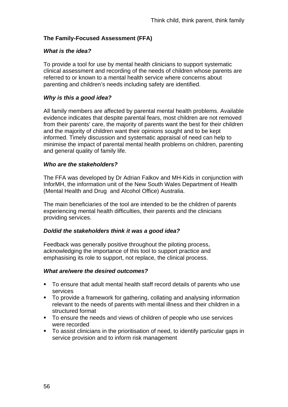# **The Family-Focused Assessment (FFA)**

# *What is the idea?*

To provide a tool for use by mental health clinicians to support systematic clinical assessment and recording of the needs of children whose parents are referred to or known to a mental health service where concerns about parenting and children's needs including safety are identified.

# *Why is this a good idea?*

All family members are affected by parental mental health problems. Available evidence indicates that despite parental fears, most children are not removed from their parents' care, the majority of parents want the best for their children and the majority of children want their opinions sought and to be kept informed. Timely discussion and systematic appraisal of need can help to minimise the impact of parental mental health problems on children, parenting and general quality of family life.

### *Who are the stakeholders?*

The FFA was developed by Dr Adrian Falkov and MH-Kids in conjunction with InforMH, the information unit of the New South Wales Department of Health (Mental Health and Drug and Alcohol Office) Australia.

The main beneficiaries of the tool are intended to be the children of parents experiencing mental health difficulties, their parents and the clinicians providing services.

# *Do/did the stakeholders think it was a good idea?*

Feedback was generally positive throughout the piloting process, acknowledging the importance of this tool to support practice and emphasising its role to support, not replace, the clinical process.

### *What are/were the desired outcomes?*

- To ensure that adult mental health staff record details of parents who use services
- To provide a framework for gathering, collating and analysing information relevant to the needs of parents with mental illness and their children in a structured format
- To ensure the needs and views of children of people who use services were recorded
- To assist clinicians in the prioritisation of need, to identify particular gaps in service provision and to inform risk management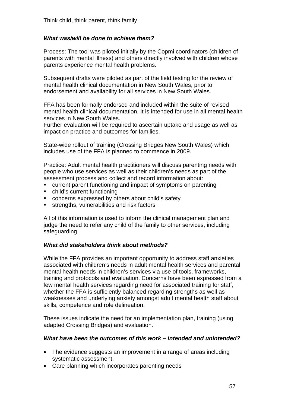# *What was/will be done to achieve them?*

Process: The tool was piloted initially by the Copmi coordinators (children of parents with mental illness) and others directly involved with children whose parents experience mental health problems.

Subsequent drafts were piloted as part of the field testing for the review of mental health clinical documentation in New South Wales, prior to endorsement and availability for all services in New South Wales.

FFA has been formally endorsed and included within the suite of revised mental health clinical documentation. It is intended for use in all mental health services in New South Wales.

Further evaluation will be required to ascertain uptake and usage as well as impact on practice and outcomes for families.

State-wide rollout of training (Crossing Bridges New South Wales) which includes use of the FFA is planned to commence in 2009.

Practice: Adult mental health practitioners will discuss parenting needs with people who use services as well as their children's needs as part of the assessment process and collect and record information about:

- current parent functioning and impact of symptoms on parenting
- child's current functioning
- concerns expressed by others about child's safety
- strengths, vulnerabilities and risk factors

All of this information is used to inform the clinical management plan and judge the need to refer any child of the family to other services, including safeguarding.

### *What did stakeholders think about methods?*

While the FFA provides an important opportunity to address staff anxieties associated with children's needs in adult mental health services and parental mental health needs in children's services via use of tools, frameworks, training and protocols and evaluation. Concerns have been expressed from a few mental health services regarding need for associated training for staff, whether the FFA is sufficiently balanced regarding strengths as well as weaknesses and underlying anxiety amongst adult mental health staff about skills, competence and role delineation.

These issues indicate the need for an implementation plan, training (using adapted Crossing Bridges) and evaluation.

#### *What have been the outcomes of this work – intended and unintended?*

- The evidence suggests an improvement in a range of areas including systematic assessment.
- Care planning which incorporates parenting needs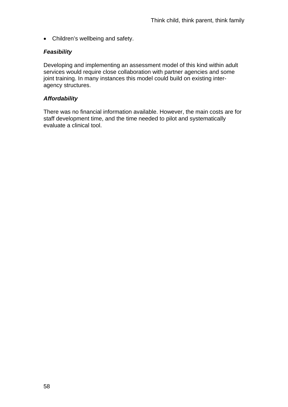• Children's wellbeing and safety.

# *Feasibility*

Developing and implementing an assessment model of this kind within adult services would require close collaboration with partner agencies and some joint training. In many instances this model could build on existing interagency structures.

# *Affordability*

There was no financial information available. However, the main costs are for staff development time, and the time needed to pilot and systematically evaluate a clinical tool.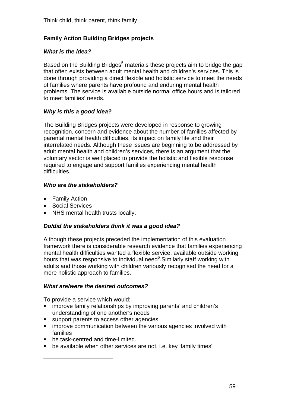# **Family Action Building Bridges projects**

# *What is the idea?*

Based on the Building Bridges<sup>5</sup> materials these projects aim to bridge the gap that often exists between adult mental health and children's services. This is done through providing a direct flexible and holistic service to meet the needs of families where parents have profound and enduring mental health problems. The service is available outside normal office hours and is tailored to meet families' needs.

# *Why is this a good idea?*

The Building Bridges projects were developed in response to growing recognition, concern and evidence about the number of families affected by parental mental health difficulties, its impact on family life and their interrelated needs. Although these issues are beginning to be addressed by adult mental health and children's services, there is an argument that the voluntary sector is well placed to provide the holistic and flexible response required to engage and support families experiencing mental health difficulties.

# *Who are the stakeholders?*

- Family Action
- Social Services
- NHS mental health trusts locally.

# *Do/did the stakeholders think it was a good idea?*

Although these projects preceded the implementation of this evaluation framework there is considerable research evidence that families experiencing mental health difficulties wanted a flexible service, available outside working hours that was responsive to individual need<sup>6</sup>. Similarly staff working with adults and those working with children variously recognised the need for a more holistic approach to families.

# *What are/were the desired outcomes?*

To provide a service which would:

- improve family relationships by improving parents' and children's understanding of one another's needs
- support parents to access other agencies
- **EXT** improve communication between the various agencies involved with families
- be task-centred and time-limited.

1

be available when other services are not, i.e. key 'family times'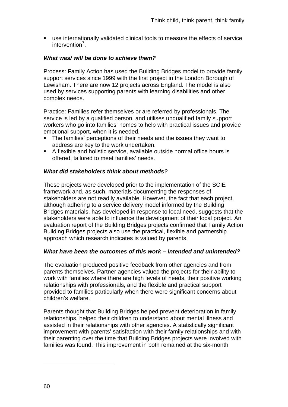use internationally validated clinical tools to measure the effects of service intervention<sup>7</sup>.

# *What was/ will be done to achieve them?*

Process: Family Action has used the Building Bridges model to provide family support services since 1999 with the first project in the London Borough of Lewisham. There are now 12 projects across England. The model is also used by services supporting parents with learning disabilities and other complex needs.

Practice: Families refer themselves or are referred by professionals. The service is led by a qualified person, and utilises unqualified family support workers who go into families' homes to help with practical issues and provide emotional support, when it is needed.

- The families' perceptions of their needs and the issues they want to address are key to the work undertaken.
- A flexible and holistic service, available outside normal office hours is offered, tailored to meet families' needs.

## *What did stakeholders think about methods?*

These projects were developed prior to the implementation of the SCIE framework and, as such, materials documenting the responses of stakeholders are not readily available. However, the fact that each project, although adhering to a service delivery model informed by the Building Bridges materials, has developed in response to local need, suggests that the stakeholders were able to influence the development of their local project. An evaluation report of the Building Bridges projects confirmed that Family Action Building Bridges projects also use the practical, flexible and partnership approach which research indicates is valued by parents.

# *What have been the outcomes of this work – intended and unintended?*

The evaluation produced positive feedback from other agencies and from parents themselves. Partner agencies valued the projects for their ability to work with families where there are high levels of needs, their positive working relationships with professionals, and the flexible and practical support provided to families particularly when there were significant concerns about children's welfare.

Parents thought that Building Bridges helped prevent deterioration in family relationships, helped their children to understand about mental illness and assisted in their relationships with other agencies. A statistically significant improvement with parents' satisfaction with their family relationships and with their parenting over the time that Building Bridges projects were involved with families was found. This improvement in both remained at the six-month

1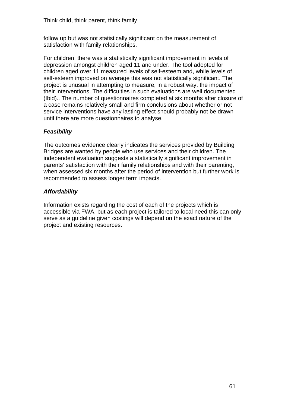follow up but was not statistically significant on the measurement of satisfaction with family relationships.

For children, there was a statistically significant improvement in levels of depression amongst children aged 11 and under. The tool adopted for children aged over 11 measured levels of self-esteem and, while levels of self-esteem improved on average this was not statistically significant. The project is unusual in attempting to measure, in a robust way, the impact of their interventions. The difficulties in such evaluations are well documented (Ibid).. The number of questionnaires completed at six months after closure of a case remains relatively small and firm conclusions about whether or not service interventions have any lasting effect should probably not be drawn until there are more questionnaires to analyse.

# *Feasibility*

The outcomes evidence clearly indicates the services provided by Building Bridges are wanted by people who use services and their children. The independent evaluation suggests a statistically significant improvement in parents' satisfaction with their family relationships and with their parenting, when assessed six months after the period of intervention but further work is recommended to assess longer term impacts.

# *Affordability*

Information exists regarding the cost of each of the projects which is accessible via FWA, but as each project is tailored to local need this can only serve as a guideline given costings will depend on the exact nature of the project and existing resources.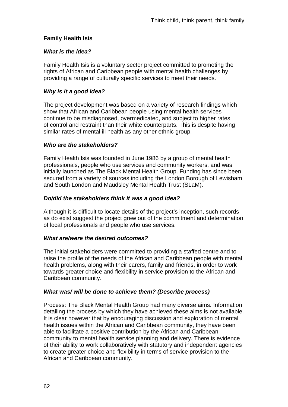# **Family Health Isis**

# *What is the idea?*

Family Health Isis is a voluntary sector project committed to promoting the rights of African and Caribbean people with mental health challenges by providing a range of culturally specific services to meet their needs.

# *Why is it a good idea?*

The project development was based on a variety of research findings which show that African and Caribbean people using mental health services continue to be misdiagnosed, overmedicated, and subject to higher rates of control and restraint than their white counterparts. This is despite having similar rates of mental ill health as any other ethnic group.

## *Who are the stakeholders?*

Family Health Isis was founded in June 1986 by a group of mental health professionals, people who use services and community workers, and was initially launched as The Black Mental Health Group. Funding has since been secured from a variety of sources including the London Borough of Lewisham and South London and Maudsley Mental Health Trust (SLaM).

## *Do/did the stakeholders think it was a good idea?*

Although it is difficult to locate details of the project's inception, such records as do exist suggest the project grew out of the commitment and determination of local professionals and people who use services.

### *What are/were the desired outcomes?*

The initial stakeholders were committed to providing a staffed centre and to raise the profile of the needs of the African and Caribbean people with mental health problems, along with their carers, family and friends, in order to work towards greater choice and flexibility in service provision to the African and Caribbean community.

### *What was/ will be done to achieve them? (Describe process)*

Process: The Black Mental Health Group had many diverse aims. Information detailing the process by which they have achieved these aims is not available. It is clear however that by encouraging discussion and exploration of mental health issues within the African and Caribbean community, they have been able to facilitate a positive contribution by the African and Caribbean community to mental health service planning and delivery. There is evidence of their ability to work collaboratively with statutory and independent agencies to create greater choice and flexibility in terms of service provision to the African and Caribbean community.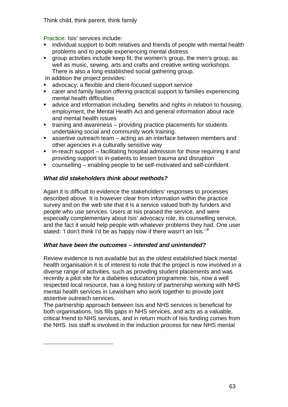Think child, think parent, think family

Practice: Isis' services include:

- [individual support](http://www.familyhealthisis.org.uk/isis%20arts/isis%20mens%20grp1.JPG) to both relatives and friends of people with mental health problems and to people experiencing mental distress
- [group activities](http://www.familyhealthisis.org.uk/centre_service.htm#Group_Activities#Group_Activities) include keep fit, the women's group, the men's group, as well as music, sewing, arts and crafts and creative writing workshops. There is also a long established social gathering group.

In addition the project provides:

1

- [advocacy;](http://www.familyhealthisis.org.uk/centre_service.htm#Advocacy#Advocacy) a flexible and client-focused support service
- [carer and family liaison](http://www.familyhealthisis.org.uk/centre_service.htm#Carers_&_Family_Liaison#Carers_&_Family_Liaison) offering practical support to families experiencing mental health difficulties
- [advice and information](http://www.familyhealthisis.org.uk/centre_service.htm#Advice_and_Information#Advice_and_Information) including benefits and rights in relation to housing, employment, the Mental Health Act and general information about race and mental health issues
- $\blacksquare$  [training and awareness](http://www.familyhealthisis.org.uk/centre_service.htm#Training_and_Awareness#Training_and_Awareness) providing practice placements for students undertaking social and community work training.
- **assertive outreach team acting as an interface between members and** other agencies in a culturally sensitive way
- in-reach support facilitating hospital admission for those requiring it and providing support to in-patients to lessen trauma and disruption
- counselling enabling people to be self-motivated and self-confident.

# *What did stakeholders think about methods?*

Again it is difficult to evidence the stakeholders' responses to processes described above. It is however clear from information within the practice survey and on the web site that it is a service valued both by funders and people who use services. Users at Isis praised the service, and were especially complementary about Isis' advocacy role, its counselling service, and the fact it would help people with whatever problems they had. One user stated: 'I don't think I'd be as happy now if there wasn't an Isis.'*<sup>8</sup>*

# *What have been the outcomes – intended and unintended?*

Review evidence is not available but as the oldest established black mental health organisation it is of interest to note that the project is now involved in a diverse range of activities, such as providing student placements and was recently a pilot site for a diabetes education programme. Isis, now a well respected local resource, has a long history of partnership working with NHS mental health services in Lewisham who work together to provide joint assertive outreach services.

The partnership approach between Isis and NHS services is beneficial for both organisations. Isis fills gaps in NHS services, and acts as a valuable, critical friend to NHS services, and in return much of Isis funding comes from the NHS. Isis staff is involved in the induction process for new NHS mental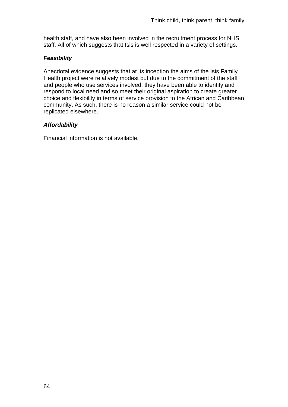health staff, and have also been involved in the recruitment process for NHS staff. All of which suggests that Isis is well respected in a variety of settings.

# *Feasibility*

Anecdotal evidence suggests that at its inception the aims of the Isis Family Health project were relatively modest but due to the commitment of the staff and people who use services involved, they have been able to identify and respond to local need and so meet their original aspiration to create greater choice and flexibility in terms of service provision to the African and Caribbean community. As such, there is no reason a similar service could not be replicated elsewhere.

# *Affordability*

Financial information is not available.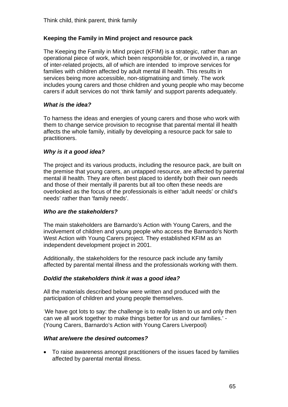# **Keeping the Family in Mind project and resource pack**

The Keeping the Family in Mind project (KFIM) is a strategic, rather than an operational piece of work, which been responsible for, or involved in, a range of inter-related projects, all of which are intended to improve services for families with children affected by adult mental ill health. This results in services being more accessible, non-stigmatising and timely. The work includes young carers and those children and young people who may become carers if adult services do not 'think family' and support parents adequately.

## *What is the idea?*

To harness the ideas and energies of young carers and those who work with them to change service provision to recognise that parental mental ill health affects the whole family, initially by developing a resource pack for sale to practitioners.

## *Why is it a good idea?*

The project and its various products, including the resource pack, are built on the premise that young carers, an untapped resource, are affected by parental mental ill health. They are often best placed to identify both their own needs and those of their mentally ill parents but all too often these needs are overlooked as the focus of the professionals is either 'adult needs' or child's needs' rather than 'family needs'.

### *Who are the stakeholders?*

The main stakeholders are Barnardo's Action with Young Carers, and the involvement of children and young people who access the Barnardo's North West Action with Young Carers project. They established KFIM as an independent development project in 2001.

Additionally, the stakeholders for the resource pack include any family affected by parental mental illness and the professionals working with them.

### *Do/did the stakeholders think it was a good idea?*

All the materials described below were written and produced with the participation of children and young people themselves.

'We have got lots to say: the challenge is to really listen to us and only then can we all work together to make things better for us and our families.' - (Young Carers, Barnardo's Action with Young Carers Liverpool)

### *What are/were the desired outcomes?*

• To raise awareness amongst practitioners of the issues faced by families affected by parental mental illness.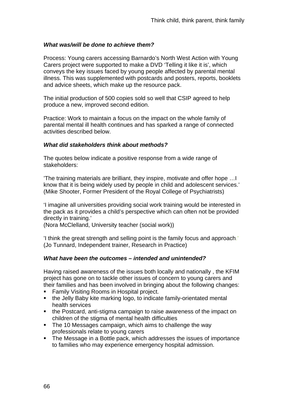## *What was/will be done to achieve them?*

Process: Young carers accessing Barnardo's North West Action with Young Carers project were supported to make a DVD 'Telling it like it is', which conveys the key issues faced by young people affected by parental mental illness. This was supplemented with postcards and posters, reports, booklets and advice sheets, which make up the resource pack.

The initial production of 500 copies sold so well that CSIP agreed to help produce a new, improved second edition.

Practice: Work to maintain a focus on the impact on the whole family of parental mental ill health continues and has sparked a range of connected activities described below.

### *What did stakeholders think about methods?*

The quotes below indicate a positive response from a wide range of stakeholders:

'The training materials are brilliant, they inspire, motivate and offer hope …I know that it is being widely used by people in child and adolescent services.' (Mike Shooter, Former President of the Royal College of Psychiatrists)

'I imagine all universities providing social work training would be interested in the pack as it provides a child's perspective which can often not be provided directly in training.'

(Nora McClelland, University teacher (social work))

'I think the great strength and selling point is the family focus and approach.' (Jo Tunnard, Independent trainer, Research in Practice)

### *What have been the outcomes – intended and unintended?*

Having raised awareness of the issues both locally and nationally , the KFIM project has gone on to tackle other issues of concern to young carers and their families and has been involved in bringing about the following changes:

- **Family Visiting Rooms in Hospital project.**
- the Jelly Baby kite marking logo, to indicate family-orientated mental health services
- the Postcard, anti-stigma campaign to raise awareness of the impact on children of the stigma of mental health difficulties
- The 10 Messages campaign, which aims to challenge the way professionals relate to young carers
- The Message in a Bottle pack, which addresses the issues of importance to families who may experience emergency hospital admission.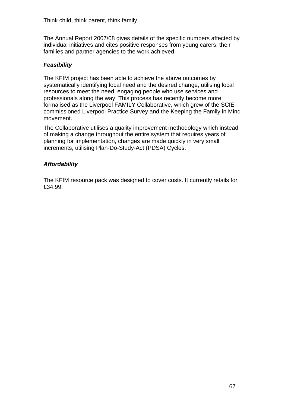The Annual Report 2007/08 gives details of the specific numbers affected by individual initiatives and cites positive responses from young carers, their families and partner agencies to the work achieved.

# *Feasibility*

The KFIM project has been able to achieve the above outcomes by systematically identifying local need and the desired change, utilising local resources to meet the need, engaging people who use services and professionals along the way. This process has recently become more formalised as the Liverpool FAMILY Collaborative, which grew of the SCIEcommissioned Liverpool Practice Survey and the Keeping the Family in Mind movement.

The Collaborative utilises a quality improvement methodology which instead of making a change throughout the entire system that requires years of planning for implementation, changes are made quickly in very small increments, utilising Plan-Do-Study-Act (PDSA) Cycles.

# *Affordability*

The KFIM resource pack was designed to cover costs. It currently retails for £34.99.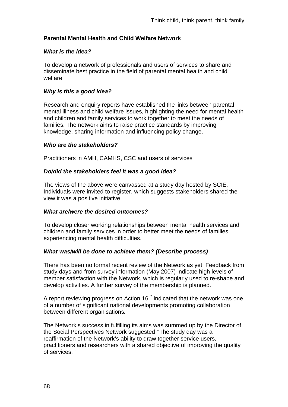# **Parental Mental Health and Child Welfare Network**

## *What is the idea?*

To develop a network of professionals and users of services to share and disseminate best practice in the field of parental mental health and child welfare.

# *Why is this a good idea?*

Research and enquiry reports have established the links between parental mental illness and child welfare issues, highlighting the need for mental health and children and family services to work together to meet the needs of families. The network aims to raise practice standards by improving knowledge, sharing information and influencing policy change.

### *Who are the stakeholders?*

Practitioners in AMH, CAMHS, CSC and users of services

## *Do/did the stakeholders feel it was a good idea?*

The views of the above were canvassed at a study day hosted by SCIE. Individuals were invited to register, which suggests stakeholders shared the view it was a positive initiative.

### *What are/were the desired outcomes?*

To develop closer working relationships between mental health services and children and family services in order to better meet the needs of families experiencing mental health difficulties.

# *What was/will be done to achieve them? (Describe process)*

There has been no formal recent review of the Network as yet. Feedback from study days and from survey information (May 2007) indicate high levels of member satisfaction with the Network, which is regularly used to re-shape and develop activities. A further survey of the membership is planned.

A report reviewing progress on Action 16<sup> $7$ </sup> indicated that the network was one of a number of significant national developments promoting collaboration between different organisations*.*

The Network's success in fulfilling its aims was summed up by the Director of the Social Perspectives Network suggested ''The study day was a reaffirmation of the Network's ability to draw together service users, practitioners and researchers with a shared objective of improving the quality of services. '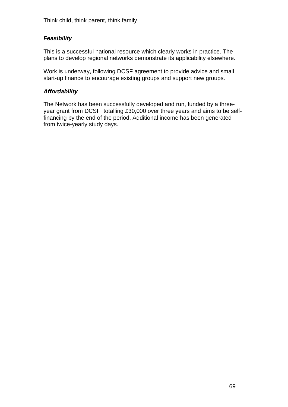# *Feasibility*

This is a successful national resource which clearly works in practice. The plans to develop regional networks demonstrate its applicability elsewhere.

Work is underway, following DCSF agreement to provide advice and small start-up finance to encourage existing groups and support new groups.

# *Affordability*

The Network has been successfully developed and run, funded by a threeyear grant from DCSF totalling £30,000 over three years and aims to be selffinancing by the end of the period. Additional income has been generated from twice-yearly study days.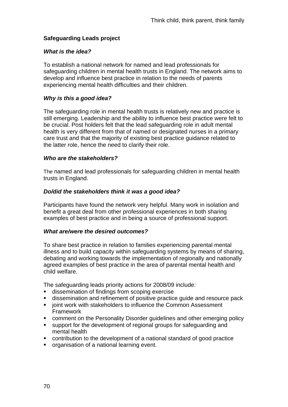# **Safeguarding Leads project**

## *What is the idea?*

To establish a national network for named and lead professionals for safeguarding children in mental health trusts in England. The network aims to develop and influence best practice in relation to the needs of parents experiencing mental health difficulties and their children.

# *Why is this a good idea?*

The safeguarding role in mental health trusts is relatively new and practice is still emerging. Leadership and the ability to influence best practice were felt to be crucial. Post holders felt that the lead safeguarding role in adult mental health is very different from that of named or designated nurses in a primary care trust and that the majority of existing best practice guidance related to the latter role, hence the need to clarify their role.

## *Who are the stakeholders?*

The named and lead professionals for safeguarding children in mental health trusts in England.

## *Do/did the stakeholders think it was a good idea?*

Participants have found the network very helpful. Many work in isolation and benefit a great deal from other professional experiences in both sharing examples of best practice and in being a source of professional support.

#### *What are/were the desired outcomes?*

To share best practice in relation to families experiencing parental mental illness and to build capacity within safeguarding systems by means of sharing, debating and working towards the implementation of regionally and nationally agreed examples of best practice in the area of parental mental health and child welfare.

The safeguarding leads priority actions for 2008/09 include:

- dissemination of findings from scoping exercise
- dissemination and refinement of positive practice guide and resource pack
- joint work with stakeholders to influence the Common Assessment Framework
- comment on the Personality Disorder guidelines and other emerging policy
- support for the development of regional groups for safeguarding and mental health
- contribution to the development of a national standard of good practice
- **•** organisation of a national learning event.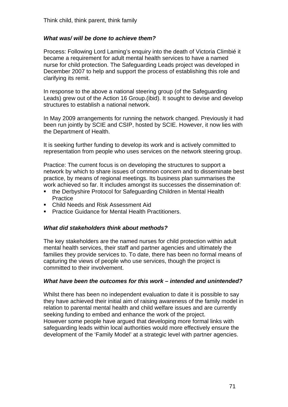## *What was/ will be done to achieve them?*

Process: Following Lord Laming's enquiry into the death of Victoria Climbié it became a requirement for adult mental health services to have a named nurse for child protection. The Safeguarding Leads project was developed in December 2007 to help and support the process of establishing this role and clarifying its remit.

In response to the above a national steering group (of the Safeguarding Leads) grew out of the Action 16 Group.(ibid). It sought to devise and develop structures to establish a national network.

In May 2009 arrangements for running the network changed. Previously it had been run jointly by SCIE and CSIP, hosted by SCIE. However, it now lies with the Department of Health.

It is seeking further funding to develop its work and is actively committed to representation from people who uses services on the network steering group.

Practice: The current focus is on developing the structures to support a network by which to share issues of common concern and to disseminate best practice, by means of regional meetings. Its business plan summarises the work achieved so far. It includes amongst its successes the dissemination of:

- the Derbyshire Protocol for Safeguarding Children in Mental Health **Practice**
- Child Needs and Risk Assessment Aid
- **Practice Guidance for Mental Health Practitioners.**

#### *What did stakeholders think about methods?*

The key stakeholders are the named nurses for child protection within adult mental health services, their staff and partner agencies and ultimately the families they provide services to. To date, there has been no formal means of capturing the views of people who use services, though the project is committed to their involvement.

#### *What have been the outcomes for this work – intended and unintended?*

Whilst there has been no independent evaluation to date it is possible to say they have achieved their initial aim of raising awareness of the family model in relation to parental mental health and child welfare issues and are currently seeking funding to embed and enhance the work of the project. However some people have argued that developing more formal links with

safeguarding leads within local authorities would more effectively ensure the development of the 'Family Model' at a strategic level with partner agencies.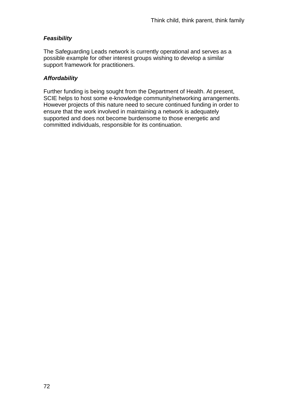# *Feasibility*

The Safeguarding Leads network is currently operational and serves as a possible example for other interest groups wishing to develop a similar support framework for practitioners.

# *Affordability*

Further funding is being sought from the Department of Health. At present, SCIE helps to host some e-knowledge community/networking arrangements. However projects of this nature need to secure continued funding in order to ensure that the work involved in maintaining a network is adequately supported and does not become burdensome to those energetic and committed individuals, responsible for its continuation.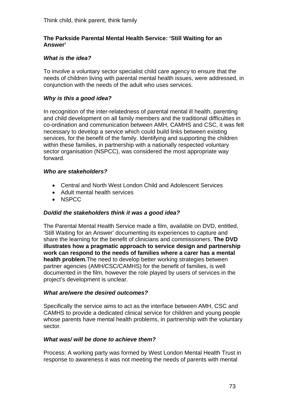## **The Parkside Parental Mental Health Service: 'Still Waiting for an Answer'**

## *What is the idea?*

To involve a voluntary sector specialist child care agency to ensure that the needs of children living with parental mental health issues, were addressed, in conjunction with the needs of the adult who uses services.

## *Why is this a good idea?*

In recognition of the inter-relatedness of parental mental ill health, parenting and child development on all family members and the traditional difficulties in co-ordination and communication between AMH, CAMHS and CSC, it was felt necessary to develop a service which could build links between existing services, for the benefit of the family. Identifying and supporting the children within these families, in partnership with a nationally respected voluntary sector organisation (NSPCC), was considered the most appropriate way forward.

#### *Who are stakeholders?*

- Central and North West London Child and Adolescent Services
- Adult mental health services
- NSPCC

#### *Do/did the stakeholders think it was a good idea?*

The Parental Mental Health Service made a film, available on DVD, entitled, 'Still Waiting for an Answer' documenting its experiences to capture and share the learning for the benefit of clinicians and commissioners. **The DVD illustrates how a pragmatic approach to service design and partnership work can respond to the needs of families where a carer has a mental health problem.**The need to develop better working strategies between partner agencies (AMH/CSC/CAMHS) for the benefit of families, is well documented in the film, however the role played by users of services in the project's development is unclear.

#### *What are/were the desired outcomes?*

Specifically the service aims to act as the interface between AMH, CSC and CAMHS to provide a dedicated clinical service for children and young people whose parents have mental health problems, in partnership with the voluntary sector.

#### *What was/ will be done to achieve them?*

Process: A working party was formed by West London Mental Health Trust in response to awareness it was not meeting the needs of parents with mental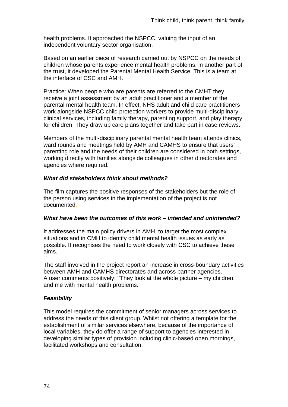health problems. It approached the NSPCC, valuing the input of an independent voluntary sector organisation.

Based on an earlier piece of research carried out by NSPCC on the needs of children whose parents experience mental health problems, in another part of the trust, it developed the Parental Mental Health Service. This is a team at the interface of CSC and AMH.

Practice: When people who are parents are referred to the CMHT they receive a joint assessment by an adult practitioner and a member of the parental mental health team. In effect, NHS adult and child care practitioners work alongside NSPCC child protection workers to provide multi-disciplinary clinical services, including family therapy, parenting support, and play therapy for children. They draw up care plans together and take part in case reviews.

Members of the multi-disciplinary parental mental health team attends clinics, ward rounds and meetings held by AMH and CAMHS to ensure that users' parenting role and the needs of their children are considered in both settings, working directly with families alongside colleagues in other directorates and agencies where required.

# *What did stakeholders think about methods?*

The film captures the positive responses of the stakeholders but the role of the person using services in the implementation of the project is not documented.

# *What have been the outcomes of this work – intended and unintended?*

It addresses the main policy drivers in AMH, to target the most complex situations and in CMH to identify child mental health issues as early as possible. It recognises the need to work closely with CSC to achieve these aims.

The staff involved in the project report an increase in cross-boundary activities between AMH and CAMHS directorates and across partner agencies. A user comments positively: ''They look at the whole picture – my children, and me with mental health problems.'

# *Feasibility*

This model requires the commitment of senior managers across services to address the needs of this client group. Whilst not offering a template for the establishment of similar services elsewhere, because of the importance of local variables, they do offer a range of support to agencies interested in developing similar types of provision including clinic-based open mornings, facilitated workshops and consultation.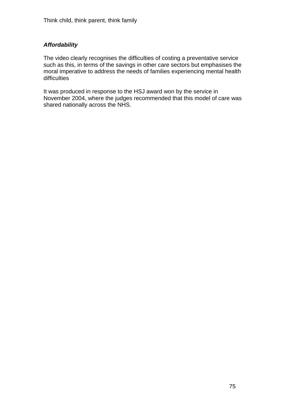# *Affordability*

The video clearly recognises the difficulties of costing a preventative service such as this, in terms of the savings in other care sectors but emphasises the moral imperative to address the needs of families experiencing mental health difficulties

It was produced in response to the HSJ award won by the service in November 2004, where the judges recommended that this model of care was shared nationally across the NHS.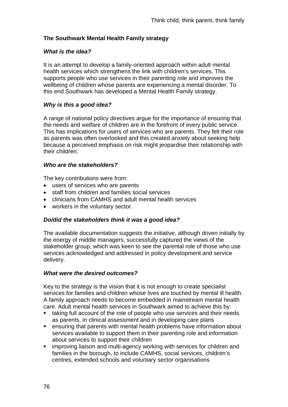# **The Southwark Mental Health Family strategy**

## *What is the idea?*

It is an attempt to develop a family-oriented approach within adult mental health services which strengthens the link with children's services. This supports people who use services in their parenting role and improves the wellbeing of children whose parents are experiencing a mental disorder. To this end Southwark has developed a Mental Health Family strategy.

# *Why is this a good idea?*

A range of national policy directives argue for the importance of ensuring that the needs and welfare of children are in the forefront of every public service. This has implications for users of services who are parents. They felt their role as parents was often overlooked and this created anxiety about seeking help because a perceived emphasis on risk might jeopardise their relationship with their children.

## *Who are the stakeholders?*

The key contributions were from:

- users of services who are parents
- staff from children and families social services
- clinicians from CAMHS and adult mental health services
- workers in the voluntary sector.

# *Do/did the stakeholders think it was a good idea?*

The available documentation suggests the initiative, although driven initially by the energy of middle managers, successfully captured the views of the stakeholder group, which was keen to see the parental role of those who use services acknowledged and addressed in policy development and service delivery.

#### *What were the desired outcomes?*

Key to the strategy is the vision that it is not enough to create specialist services for families and children whose lives are touched by mental ill health. A family approach needs to become embedded in mainstream mental health care. Adult mental health services in Southwark aimed to achieve this by:

- taking full account of the role of people who use services and their needs as parents, in clinical assessment and in developing care plans
- ensuring that parents with mental health problems have information about services available to support them in their parenting role and information about services to support their children
- **EXT** improving liaison and multi-agency working with services for children and families in the borough, to include CAMHS, social services, children's centres, extended schools and voluntary sector organisations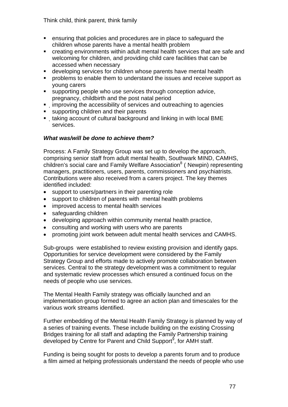Think child, think parent, think family

- ensuring that policies and procedures are in place to safeguard the children whose parents have a mental health problem
- creating environments within adult mental health services that are safe and welcoming for children, and providing child care facilities that can be accessed when necessary
- developing services for children whose parents have mental health
- **•** problems to enable them to understand the issues and receive support as young carers
- supporting people who use services through conception advice, pregnancy, childbirth and the post natal period
- **EXEDENT** improving the accessibility of services and outreaching to agencies
- supporting children and their parents
- taking account of cultural background and linking in with local BME services.

# *What was/will be done to achieve them?*

Process: A Family Strategy Group was set up to develop the approach, comprising senior staff from adult mental health, Southwark MIND, CAMHS, children's social care and Family Welfare Association<sup>8</sup> (Newpin) representing managers, practitioners, users, parents, commissioners and psychiatrists. Contributions were also received from a carers project. The key themes identified included:

- support to users/partners in their parenting role
- support to children of parents with mental health problems
- improved access to mental health services
- safeguarding children
- developing approach within community mental health practice,
- consulting and working with users who are parents
- promoting joint work between adult mental health services and CAMHS.

Sub-groups were established to review existing provision and identify gaps. Opportunities for service development were considered by the Family Strategy Group and efforts made to actively promote collaboration between services. Central to the strategy development was a commitment to regular and systematic review processes which ensured a continued focus on the needs of people who use services.

The Mental Health Family strategy was officially launched and an implementation group formed to agree an action plan and timescales for the various work streams identified.

Further embedding of the Mental Health Family Strategy is planned by way of a series of training events. These include building on the existing Crossing Bridges training for all staff and adapting the Family Partnership training developed by Centre for Parent and Child Support<sup>9</sup>, for AMH staff.

Funding is being sought for posts to develop a parents forum and to produce a film aimed at helping professionals understand the needs of people who use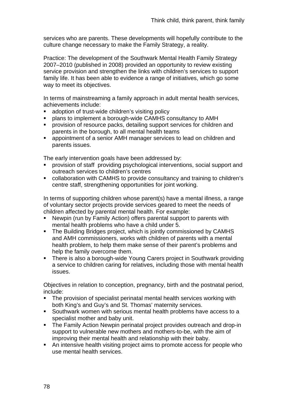services who are parents. These developments will hopefully contribute to the culture change necessary to make the Family Strategy, a reality.

Practice: The development of the Southwark Mental Health Family Strategy 2007–2010 (published in 2008) provided an opportunity to review existing service provision and strengthen the links with children's services to support family life. It has been able to evidence a range of initiatives, which go some way to meet its objectives.

In terms of mainstreaming a family approach in adult mental health services, achievements include:

- adoption of trust-wide children's visiting policy
- plans to implement a borough-wide CAMHS consultancy to AMH
- provision of resource packs, detailing support services for children and parents in the borough, to all mental health teams
- appointment of a senior AMH manager services to lead on children and parents issues.

The early intervention goals have been addressed by:

- provision of staff providing psychological interventions, social support and outreach services to children's centres
- collaboration with CAMHS to provide consultancy and training to children's centre staff, strengthening opportunities for joint working.

In terms of supporting children whose parent(s) have a mental illness, a range of voluntary sector projects provide services geared to meet the needs of children affected by parental mental health. For example:

- Newpin (run by Family Action) offers parental support to parents with mental health problems who have a child under 5.
- The Building Bridges project, which is jointly commissioned by CAMHS and AMH commissioners, works with children of parents with a mental health problem, to help them make sense of their parent's problems and help the family overcome them.
- There is also a borough-wide Young Carers project in Southwark providing a service to children caring for relatives, including those with mental health issues.

Objectives in relation to conception, pregnancy, birth and the postnatal period, include:

- The provision of specialist perinatal mental health services working with both King's and Guy's and St. Thomas' maternity services.
- Southwark women with serious mental health problems have access to a specialist mother and baby unit.
- **The Family Action Newpin perinatal project provides outreach and drop-in** support to vulnerable new mothers and mothers-to-be, with the aim of improving their mental health and relationship with their baby.
- An intensive health visiting project aims to promote access for people who use mental health services.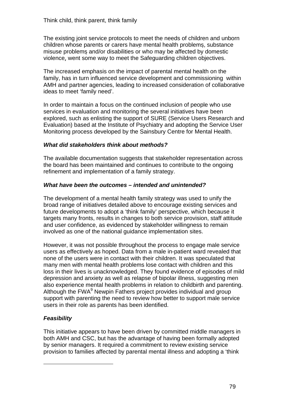The existing joint service protocols to meet the needs of children and unborn children whose parents or carers have mental health problems, substance misuse problems and/or disabilities or who may be affected by domestic violence, went some way to meet the Safeguarding children objectives.

The increased emphasis on the impact of parental mental health on the family, has in turn influenced service development and commissioning within AMH and partner agencies, leading to increased consideration of collaborative ideas to meet 'family need'.

In order to maintain a focus on the continued inclusion of people who use services in evaluation and monitoring the several initiatives have been explored, such as enlisting the support of SURE (Service Users Research and Evaluation) based at the Institute of Psychiatry and adopting the Service User Monitoring process developed by the Sainsbury Centre for Mental Health.

## *What did stakeholders think about methods?*

The available documentation suggests that stakeholder representation across the board has been maintained and continues to contribute to the ongoing refinement and implementation of a family strategy.

## *What have been the outcomes – intended and unintended?*

The development of a mental health family strategy was used to unify the broad range of initiatives detailed above to encourage existing services and future developments to adopt a 'think family' perspective, which because it targets many fronts, results in changes to both service provision, staff attitude and user confidence, as evidenced by stakeholder willingness to remain involved as one of the national guidance implementation sites.

However, it was not possible throughout the process to engage male service users as effectively as hoped. Data from a male in-patient ward revealed that none of the users were in contact with their children. It was speculated that many men with mental health problems lose contact with children and this loss in their lives is unacknowledged. They found evidence of episodes of mild depression and anxiety as well as relapse of bipolar illness, suggesting men also experience mental health problems in relation to childbirth and parenting. Although the FWA<sup>9</sup> Newpin Fathers project provides individual and group support with parenting the need to review how better to support male service users in their role as parents has been identified.

# *Feasibility*

l

This initiative appears to have been driven by committed middle managers in both AMH and CSC, but has the advantage of having been formally adopted by senior managers. It required a commitment to review existing service provision to families affected by parental mental illness and adopting a 'think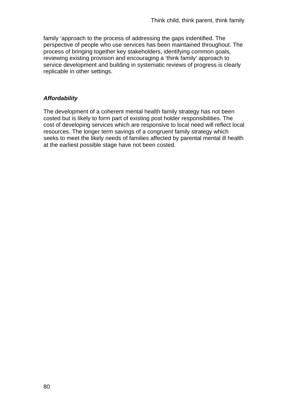family 'approach to the process of addressing the gaps indentified. The perspective of people who use services has been maintained throughout. The process of bringing together key stakeholders, identifying common goals, reviewing existing provision and encouraging a 'think family' approach to service development and building in systematic reviews of progress is clearly replicable in other settings.

## *Affordability*

The development of a coherent mental health family strategy has not been costed but is likely to form part of existing post holder responsibilities. The cost of developing services which are responsive to local need will reflect local resources. The longer term savings of a congruent family strategy which seeks to meet the likely needs of families affected by parental mental ill health at the earliest possible stage have not been costed.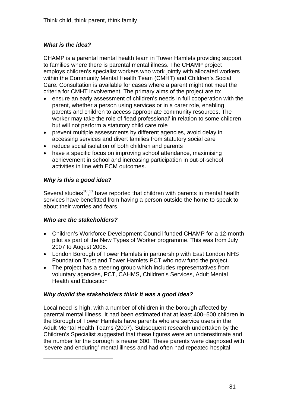# *What is the idea?*

CHAMP is a parental mental health team in Tower Hamlets providing support to families where there is parental mental illness. The CHAMP project employs children's specialist workers who work jointly with allocated workers within the Community Mental Health Team (CMHT) and Children's Social Care. Consultation is available for cases where a parent might not meet the criteria for CMHT involvement. The primary aims of the project are to:

- ensure an early assessment of children's needs in full cooperation with the parent, whether a person using services or in a carer role, enabling parents and children to access appropriate community resources. The worker may take the role of 'lead professional' in relation to some children but will not perform a statutory child care role
- prevent multiple assessments by different agencies, avoid delay in accessing services and divert families from statutory social care
- reduce social isolation of both children and parents
- have a specific focus on improving school attendance, maximising achievement in school and increasing participation in out-of-school activities in line with ECM outcomes.

# *Why is this a good idea?*

Several studies<sup>10,11</sup> have reported that children with parents in mental health services have benefitted from having a person outside the home to speak to about their worries and fears.

# *Who are the stakeholders?*

l

- Children's Workforce Development Council funded CHAMP for a 12-month pilot as part of the New Types of Worker programme. This was from July 2007 to August 2008.
- London Borough of Tower Hamlets in partnership with East London NHS Foundation Trust and Tower Hamlets PCT who now fund the project.
- The project has a steering group which includes representatives from voluntary agencies, PCT, CAHMS, Children's Services, Adult Mental Health and Education

# *Why do/did the stakeholders think it was a good idea?*

Local need is high, with a number of children in the borough affected by parental mental illness. It had been estimated that at least 400–500 children in the Borough of Tower Hamlets have parents who are service users in the Adult Mental Health Teams (2007). Subsequent research undertaken by the Children's Specialist suggested that these figures were an underestimate and the number for the borough is nearer 600. These parents were diagnosed with 'severe and enduring' mental illness and had often had repeated hospital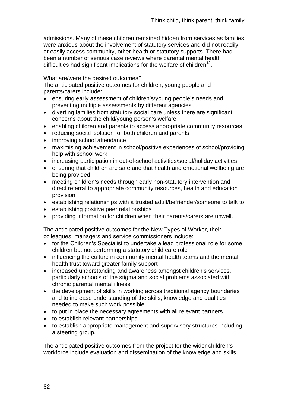admissions. Many of these children remained hidden from services as families were anxious about the involvement of statutory services and did not readily or easily access community, other health or statutory supports. There had been a number of serious case reviews where parental mental health difficulties had significant implications for the welfare of children<sup>12</sup>.

#### What are/were the desired outcomes?

The anticipated positive outcomes for children, young people and parents/carers include:

- ensuring early assessment of children's/young people's needs and preventing multiple assessments by different agencies
- diverting families from statutory social care unless there are significant concerns about the child/young person's welfare
- enabling children and parents to access appropriate community resources
- reducing social isolation for both children and parents
- improving school attendance
- maximising achievement in school/positive experiences of school/providing help with school work
- increasing participation in out-of-school activities/social/holiday activities
- ensuring that children are safe and that health and emotional wellbeing are being provided
- meeting children's needs through early non-statutory intervention and direct referral to appropriate community resources, health and education provision
- establishing relationships with a trusted adult/befriender/someone to talk to
- establishing positive peer relationships
- providing information for children when their parents/carers are unwell.

The anticipated positive outcomes for the New Types of Worker, their colleagues, managers and service commissioners include:

- for the Children's Specialist to undertake a lead professional role for some children but not performing a statutory child care role
- influencing the culture in community mental health teams and the mental health trust toward greater family support
- increased understanding and awareness amongst children's services, particularly schools of the stigma and social problems associated with chronic parental mental illness
- the development of skills in working across traditional agency boundaries and to increase understanding of the skills, knowledge and qualities needed to make such work possible
- to put in place the necessary agreements with all relevant partners
- to establish relevant partnerships
- to establish appropriate management and supervisory structures including a steering group.

The anticipated positive outcomes from the project for the wider children's workforce include evaluation and dissemination of the knowledge and skills

l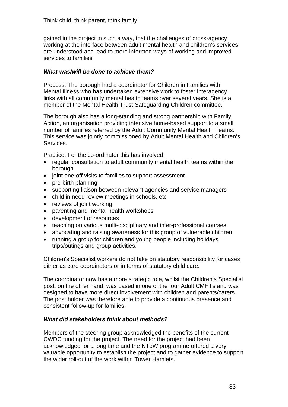gained in the project in such a way, that the challenges of cross-agency working at the interface between adult mental health and children's services are understood and lead to more informed ways of working and improved services to families

## *What was/will be done to achieve them?*

Process: The borough had a coordinator for Children in Families with Mental Illness who has undertaken extensive work to foster interagency links with all community mental health teams over several years. She is a member of the Mental Health Trust Safeguarding Children committee.

The borough also has a long-standing and strong partnership with Family Action, an organisation providing intensive home-based support to a small number of families referred by the Adult Community Mental Health Teams. This service was jointly commissioned by Adult Mental Health and Children's Services.

Practice: For the co-ordinator this has involved:

- regular consultation to adult community mental health teams within the borough
- joint one-off visits to families to support assessment
- pre-birth planning
- supporting liaison between relevant agencies and service managers
- child in need review meetings in schools, etc
- reviews of joint working
- parenting and mental health workshops
- development of resources
- teaching on various multi-disciplinary and inter-professional courses
- advocating and raising awareness for this group of vulnerable children
- running a group for children and young people including holidays, trips/outings and group activities.

Children's Specialist workers do not take on statutory responsibility for cases either as care coordinators or in terms of statutory child care.

The coordinator now has a more strategic role, whilst the Children's Specialist post, on the other hand, was based in one of the four Adult CMHTs and was designed to have more direct involvement with children and parents/carers. The post holder was therefore able to provide a continuous presence and consistent follow-up for families.

# *What did stakeholders think about methods?*

Members of the steering group acknowledged the benefits of the current CWDC funding for the project. The need for the project had been acknowledged for a long time and the NToW programme offered a very valuable opportunity to establish the project and to gather evidence to support the wider roll-out of the work within Tower Hamlets.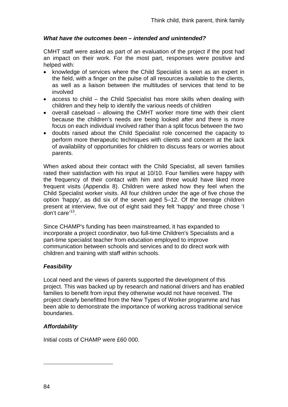## *What have the outcomes been – intended and unintended?*

CMHT staff were asked as part of an evaluation of the project if the post had an impact on their work. For the most part, responses were positive and helped with:

- knowledge of services where the Child Specialist is seen as an expert in the field, with a finger on the pulse of all resources available to the clients, as well as a liaison between the multitudes of services that tend to be involved
- access to child the Child Specialist has more skills when dealing with children and they help to identify the various needs of children
- overall caseload allowing the CMHT worker more time with their client because the children's needs are being looked after and there is more focus on each individual involved rather than a split focus between the two
- doubts raised about the Child Specialist role concerned the capacity to perform more therapeutic techniques with clients and concern at the lack of availability of opportunities for children to discuss fears or worries about parents.

When asked about their contact with the Child Specialist, all seven families rated their satisfaction with his input at 10/10. Four families were happy with the frequency of their contact with him and three would have liked more frequent visits (Appendix 8). Children were asked how they feel when the Child Specialist worker visits. All four children under the age of five chose the option 'happy', as did six of the seven aged 5–12. Of the teenage children present at interview, five out of eight said they felt 'happy' and three chose 'I don't care'13.

Since CHAMP's funding has been mainstreamed, it has expanded to incorporate a project coordinator, two full-time Children's Specialists and a part-time specialist teacher from education employed to improve communication between schools and services and to do direct work with children and training with staff within schools.

# *Feasibility*

Local need and the views of parents supported the development of this project. This was backed up by research and national drivers and has enabled families to benefit from input they otherwise would not have received. The project clearly benefitted from the New Types of Worker programme and has been able to demonstrate the importance of working across traditional service boundaries.

# *Affordability*

Initial costs of CHAMP were £60 000.

84

l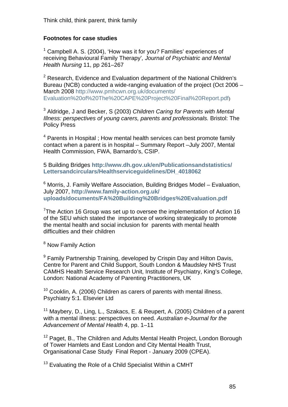## **Footnotes for case studies**

<sup>1</sup> Campbell A. S. (2004), 'How was it for you? Families' experiences of receiving Behavioural Family Therapy'*, Journal of Psychiatric and Mental Health Nursing* 11, pp 261–267

 $2$  Research, Evidence and Evaluation department of the National Children's Bureau (NCB) conducted a wide-ranging evaluation of the project (Oct 2006 – March 2008 [http://www.pmhcwn.org.uk/documents/](http://www.pmhcwn.org.uk/documents/%20Evaluation%20of%20The%20CAPE%20Project%20Final%20Report.pdf)  [Evaluation%20of%20The%20CAPE%20Project%20Final%20Report.pdf](http://www.pmhcwn.org.uk/documents/%20Evaluation%20of%20The%20CAPE%20Project%20Final%20Report.pdf))

3 Aldridge, J and Becker, S (2003) *Children Caring for Parents with Mental Illness: perspectives of young carers, parents and professionals.* Bristol: The Policy Press

 $4$  Parents in Hospital ; How mental health services can best promote family contact when a parent is in hospital – Summary Report –July 2007, Mental Health Commission, FWA, Barnardo's, CSIP.

5 Building Bridges **[http://www.dh.gov.uk/en/Publicationsandstatistics/](http://www.dh.gov.uk/en/Publicationsandstatistics/%20Lettersandcirculars/Healthserviceguidelines/DH_4018062)  [Lettersandcirculars/Healthserviceguidelines/DH\\_4018062](http://www.dh.gov.uk/en/Publicationsandstatistics/%20Lettersandcirculars/Healthserviceguidelines/DH_4018062)**

<sup>6</sup> Morris, J. Family Welfare Association, Building Bridges Model – Evaluation, July 2007, **[http://www.family-action.org.uk/](http://www.family-action.org.uk/%20uploads/documents/FA%20Building%20Bridges%20Evaluation.pdf)  [uploads/documents/FA%20Building%20Bridges%20Evaluation.pdf](http://www.family-action.org.uk/%20uploads/documents/FA%20Building%20Bridges%20Evaluation.pdf)**

<sup>7</sup>The Action 16 Group was set up to oversee the implementation of Action 16 of the SEU which stated the importance of working strategically to promote the mental health and social inclusion for parents with mental health difficulties and their children

<sup>8</sup> Now Family Action

<sup>9</sup> Family Partnership Training, developed by Crispin Day and Hilton Davis, Centre for Parent and Child Support, South London & Maudsley NHS Trust CAMHS Health Service Research Unit, Institute of Psychiatry, King's College, London: National Academy of Parenting Practitioners, UK

 $10$  Cooklin, A. (2006) Children as carers of parents with mental illness. Psychiatry 5:1. Elsevier Ltd

<sup>11</sup> Maybery, D., Ling, L., Szakacs, E. & Reupert, A. (2005) Children of a parent with a mental illness: perspectives on need. *Australian e-Journal for the Advancement of Mental Health* 4, pp. 1–11

 $12$  Paget, B., The Children and Adults Mental Health Project, London Borough of Tower Hamlets and East London and City Mental Health Trust, Organisational Case Study Final Report - January 2009 (CPEA).

<sup>13</sup> Evaluating the Role of a Child Specialist Within a CMHT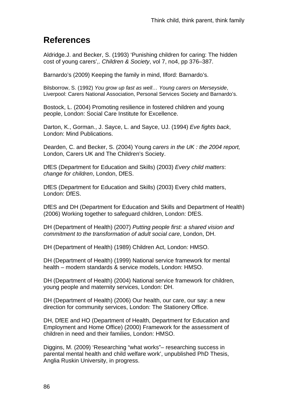# **References**

Aldridge.J. and Becker, S. (1993) 'Punishing children for caring: The hidden cost of young carers',. *Children & Society*, vol 7, no4, pp 376–387.

Barnardo's (2009) Keeping the family in mind, Ilford: Barnardo's.

Bilsborrow, S. (1992) *You grow up fast as well… Young carers on Merseyside*, Liverpool: Carers National Association, Personal Services Society and Barnardo's.

Bostock, L. (2004) Promoting resilience in fostered children and young people, London: Social Care Institute for Excellence.

Darton, K., Gorman., J. Sayce, L. and Sayce, UJ. (1994) *Eve fights back*, London: Mind Publications.

Dearden, C. and Becker, S. (2004) Young *carers in the UK : the 2004 report,* London, Carers UK and The Children's Society.

DfES (Department for Education and Skills) (2003) *Every child matters*: *change for children*, London, DfES.

DfES (Department for Education and Skills) (2003) Every child matters, London: DfES.

DfES and DH (Department for Education and Skills and Department of Health) (2006) Working together to safeguard children, London: DfES.

DH (Department of Health) (2007) *Putting people first: a shared vision and commitment to the transformation of adult social care*, London, DH.

DH (Department of Health) (1989) Children Act, London: HMSO.

DH (Department of Health) (1999) National service framework for mental health – modern standards & service models, London: HMSO.

DH (Department of Health) (2004) National service framework for children, young people and maternity services, London: DH.

DH (Department of Health) (2006) Our health, our care, our say: a new direction for community services, London: The Stationery Office.

DH, DfEE and HO (Department of Health, Department for Education and Employment and Home Office) (2000) Framework for the assessment of children in need and their families, London: HMSO.

Diggins, M. (2009) 'Researching "what works"*–* researching success in parental mental health and child welfare work', unpublished PhD Thesis, Anglia Ruskin University, in progress.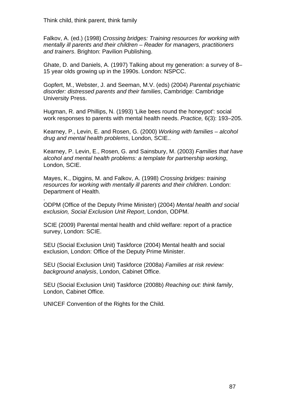Falkov, A. (ed.) (1998) *Crossing bridges: Training resources for working with mentally ill parents and their children – Reader for managers, practitioners and trainers*. Brighton: Pavilion Publishing.

Ghate, D. and Daniels, A. (1997) Talking about my generation: a survey of 8– 15 year olds growing up in the 1990s. London: NSPCC.

Gopfert, M., Webster, J. and Seeman, M.V. (eds) (2004) *Parental psychiatric disorder: distressed parents and their families*, Cambridge: Cambridge University Press.

Hugman, R. and Phillips, N. (1993) 'Like bees round the honeypot': social work responses to parents with mental health needs. *Practice,* 6(3): 193–205.

Kearney, P., Levin, E. and Rosen, G. (2000) *Working with families – alcohol drug and mental health problems*, London, SCIE..

Kearney, P. Levin, E., Rosen, G. and Sainsbury, M. (2003) *Families that have alcohol and mental health problems: a template for partnership working*, London, SCIE.

Mayes, K., Diggins, M. and Falkov, A. (1998) *Crossing bridges: training resources for working with mentally ill parents and their children*. London: Department of Health.

ODPM (Office of the Deputy Prime Minister) (2004) *Mental health and social exclusion, Social Exclusion Unit Report*, London, ODPM.

SCIE (2009) Parental mental health and child welfare: report of a practice survey, London: SCIE.

SEU (Social Exclusion Unit) Taskforce (2004) Mental health and social exclusion, London: Office of the Deputy Prime Minister.

SEU (Social Exclusion Unit) Taskforce (2008a) *Families at risk review: background analysis*, London, Cabinet Office.

SEU (Social Exclusion Unit) Taskforce (2008b) *Reaching out: think family*, London, Cabinet Office.

UNICEF Convention of the Rights for the Child.

.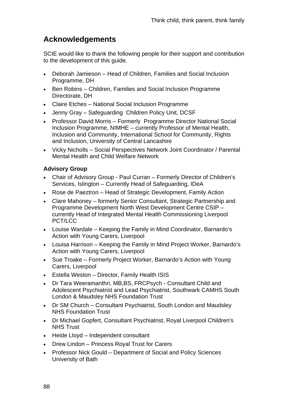# **Acknowledgements**

SCIE would like to thank the following people for their support and contribution to the development of this guide.

- Deborah Jamieson Head of Children, Families and Social Inclusion Programme, DH
- Ben Robins Children, Families and Social Inclusion Programme Directorate, DH
- Claire Etches National Social Inclusion Programme
- Jenny Gray Safeguarding Children Policy Unit, DCSF
- Professor David Morris Formerly Programme Director National Social Inclusion Programme, NIMHE – currently Professor of Mental Health, Inclusion and Community, International School for Community, Rights and Inclusion, University of Central Lancashire
- Vicky Nicholls Social Perspectives Network Joint Coordinator / Parental Mental Health and Child Welfare Network

# **Advisory Group**

- Chair of Advisory Group Paul Curran Formerly Director of Children's Services, Islington – Currently Head of Safeguarding, IDeA
- Rose de Paeztron Head of Strategic Development, Family Action
- Clare Mahoney formerly Senior Consultant, Strategic Partnership and Programme Development North West Development Centre CSIP – currently Head of Integrated Mental Health Commissioning Liverpool PCT/LCC
- Louise Wardale Keeping the Family in Mind Coordinator, Barnardo's Action with Young Carers, Liverpool
- Louisa Harrison Keeping the Family in Mind Project Worker, Barnardo's Action with Young Carers, Liverpool
- Sue Troake Formerly Project Worker, Barnardo's Action with Young Carers, Liverpool
- Estella Weston Director, Family Health ISIS
- Dr Tara Weeramanthri, MB,BS, FRCPsych Consultant Child and Adolescent Psychiatrist and Lead Psychiatrist, Southwark CAMHS South London & Maudsley NHS Foundation Trust
- Dr SM Church Consultant Psychiatrist, South London and Maudsley NHS Foundation Trust
- Dr Michael Gopfert, Consultant Psychiatrist, Royal Liverpool Children's NHS Trust
- Heide Lloyd Independent consultant
- Drew Lindon Princess Royal Trust for Carers
- Professor Nick Gould Department of Social and Policy Sciences University of Bath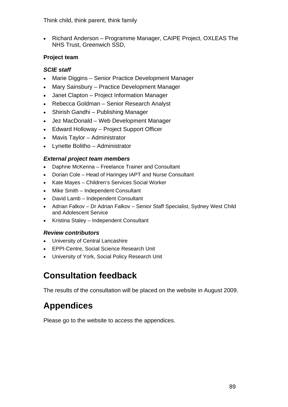Think child, think parent, think family

• Richard Anderson – Programme Manager, CAIPE Project, OXLEAS The NHS Trust, Greenwich SSD,

# **Project team**

# *SCIE staff*

- Marie Diggins Senior Practice Development Manager
- Mary Sainsbury Practice Development Manager
- Janet Clapton Project Information Manager
- Rebecca Goldman Senior Research Analyst
- Shirish Gandhi Publishing Manager
- Jez MacDonald Web Development Manager
- Edward Holloway Project Support Officer
- Mavis Taylor Administrator
- Lynette Bolitho Administrator

# *External project team members*

- Daphne McKenna Freelance Trainer and Consultant
- Dorian Cole Head of Haringey IAPT and Nurse Consultant
- Kate Mayes Children's Services Social Worker
- Mike Smith Independent Consultant
- David Lamb Independent Consultant
- Adrian Falkov Dr Adrian Falkov Senior Staff Specialist, Sydney West Child and Adolescent Service
- Kristina Staley Independent Consultant

# *Review contributors*

- University of Central Lancashire
- EPPI-Centre, Social Science Research Unit
- University of York, Social Policy Research Unit

# **Consultation feedback**

The results of the consultation will be placed on the website in August 2009.

# **Appendices**

Please go to the website to access the appendices.